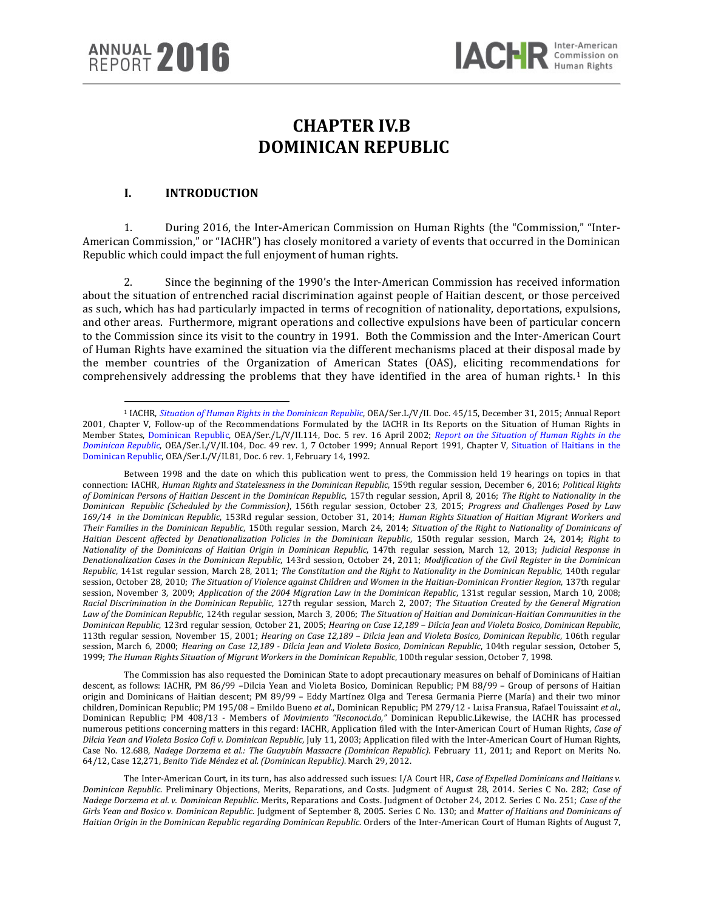l

# **CHAPTER IV.B DOMINICAN REPUBLIC**

# **I. INTRODUCTION**

1. During 2016, the Inter-American Commission on Human Rights (the "Commission," "Inter-American Commission," or "IACHR") has closely monitored a variety of events that occurred in the Dominican Republic which could impact the full enjoyment of human rights.

2. Since the beginning of the 1990's the Inter-American Commission has received information about the situation of entrenched racial discrimination against people of Haitian descent, or those perceived as such, which has had particularly impacted in terms of recognition of nationality, deportations, expulsions, and other areas. Furthermore, migrant operations and collective expulsions have been of particular concern to the Commission since its visit to the country in 1991. Both the Commission and the Inter-American Court of Human Rights have examined the situation via the different mechanisms placed at their disposal made by the member countries of the Organization of American States (OAS), eliciting recommendations for comprehensively addressing the problems that they have identified in the area of human rights.<sup>[1](#page-0-0)</sup> In this

The Commission has also requested the Dominican State to adopt precautionary measures on behalf of Dominicans of Haitian descent, as follows: IACHR, PM 86/99 –Dilcia Yean and Violeta Bosico, Dominican Republic; PM 88/99 – Group of persons of Haitian origin and Dominicans of Haitian descent; PM 89/99 – Eddy Martínez Olga and Teresa Germania Pierre (María) and their two minor children, Dominican Republic; PM 195/08 – Emildo Bueno *et al*., Dominican Republic; PM 279/12 - Luisa Fransua, Rafael Touissaint *et al*., Dominican Republic; PM 408/13 - Members of *Movimiento "Reconoci.do,"* Dominican Republic.Likewise, the IACHR has processed numerous petitions concerning matters in this regard: IACHR, Application filed with the Inter-American Court of Human Rights, *Case of Dilcia Yean and Violeta Bosico Cofi v. Dominican Republic*, July 11, 2003; Application filed with the Inter-American Court of Human Rights, Case No. 12.688, *Nadege Dorzema et al.: The Guayubín Massacre (Dominican Republic)*. February 11, 2011; and Report on Merits No. 64/12, Case 12,271, *Benito Tide Méndez et al. (Dominican Republic)*. March 29, 2012.

The Inter-American Court, in its turn, has also addressed such issues: I/A Court HR, *Case of Expelled Dominicans and Haitians v. Dominican Republic*. Preliminary Objections, Merits, Reparations, and Costs. Judgment of August 28, 2014. Series C No. 282; *Case of Nadege Dorzema et al. v. Dominican Republic*. Merits, Reparations and Costs. Judgment of October 24, 2012. Series C No. 251; *Case of the Girls Yean and Bosico v. Dominican Republic*. Judgment of September 8, 2005. Series C No. 130; and *Matter of Haitians and Dominicans of Haitian Origin in the Dominican Republic regarding Dominican Republic*. Orders of the Inter-American Court of Human Rights of August 7,

<span id="page-0-0"></span><sup>1</sup> IACHR, *[Situation of Human Rights in the Dominican Republic](http://www.oas.org/es/cidh/informes/pdfs/RepublicaDominicana-2015.pdf)*, OEA/Ser.L/V/II. Doc. 45/15, December 31, 2015; Annual Report 2001, Chapter V, Follow-up of the Recommendations Formulated by the IACHR in Its Reports on the Situation of Human Rights in Member States, [Dominican Republic,](http://www.cidh.oas.org/annualrep/2001sp/cap.5d.htm) OEA/Ser./L/V/II.114, Doc. 5 rev. 16 April 2002; *[Report on the Situation of Human Rights in the](http://www.cidh.org/countryrep/Rep.Dominicana99sp/indice.htm)  [Dominican Republic](http://www.cidh.org/countryrep/Rep.Dominicana99sp/indice.htm)*, OEA/Ser.L/V/II.104, Doc. 49 rev. 1, 7 October 1999; Annual Report 1991, Chapter V, [Situation of Haitians in the](http://www.cidh.oas.org/annualrep/91span/cap.V.htm)  [Dominican Republic,](http://www.cidh.oas.org/annualrep/91span/cap.V.htm) OEA/Ser.L/V/II.81, Doc. 6 rev. 1, February 14, 1992.

Between 1998 and the date on which this publication went to press, the Commission held 19 hearings on topics in that connection: IACHR, *Human Rights and Statelessness in the Dominican Republic*, 159th regular session, December 6, 2016; *Political Rights of Dominican Persons of Haitian Descent in the Dominican Republic*, 157th regular session, April 8, 2016; *The Right to Nationality in the Dominican Republic (Scheduled by the Commission)*, 156th regular session, October 23, 2015; *Progress and Challenges Posed by Law 169/14 in the Dominican Republic*, 153Rd regular session, October 31, 2014; *Human Rights Situation of Haitian Migrant Workers and Their Families in the Dominican Republic*, 150th regular session, March 24, 2014; *Situation of the Right to Nationality of Dominicans of Haitian Descent affected by Denationalization Policies in the Dominican Republic*, 150th regular session, March 24, 2014; *Right to Nationality of the Dominicans of Haitian Origin in Dominican Republic*, 147th regular session, March 12, 2013; *Judicial Response in Denationalization Cases in the Dominican Republic*, 143rd session, October 24, 2011; *Modification of the Civil Register in the Dominican Republic*, 141st regular session, March 28, 2011; *The Constitution and the Right to Nationality in the Dominican Republic*, 140th regular session, October 28, 2010; *The Situation of Violence against Children and Women in the Haitian-Dominican Frontier Region*, 137th regular session, November 3, 2009; *Application of the 2004 Migration Law in the Dominican Republic*, 131st regular session, March 10, 2008; *Racial Discrimination in the Dominican Republic*, 127th regular session, March 2, 2007; *The Situation Created by the General Migration Law of the Dominican Republic*, 124th regular session, March 3, 2006; *The Situation of Haitian and Dominican-Haitian Communities in the Dominican Republic*, 123rd regular session, October 21, 2005; *Hearing on Case 12,189 – Dilcia Jean and Violeta Bosico, Dominican Republic*, 113th regular session, November 15, 2001; *Hearing on Case 12,189 – Dilcia Jean and Violeta Bosico, Dominican Republic*, 106th regular session, March 6, 2000; *Hearing on Case 12,189 - Dilcia Jean and Violeta Bosico, Dominican Republic*, 104th regular session, October 5, 1999; *The Human Rights Situation of Migrant Workers in the Dominican Republic*, 100th regular session, October 7, 1998.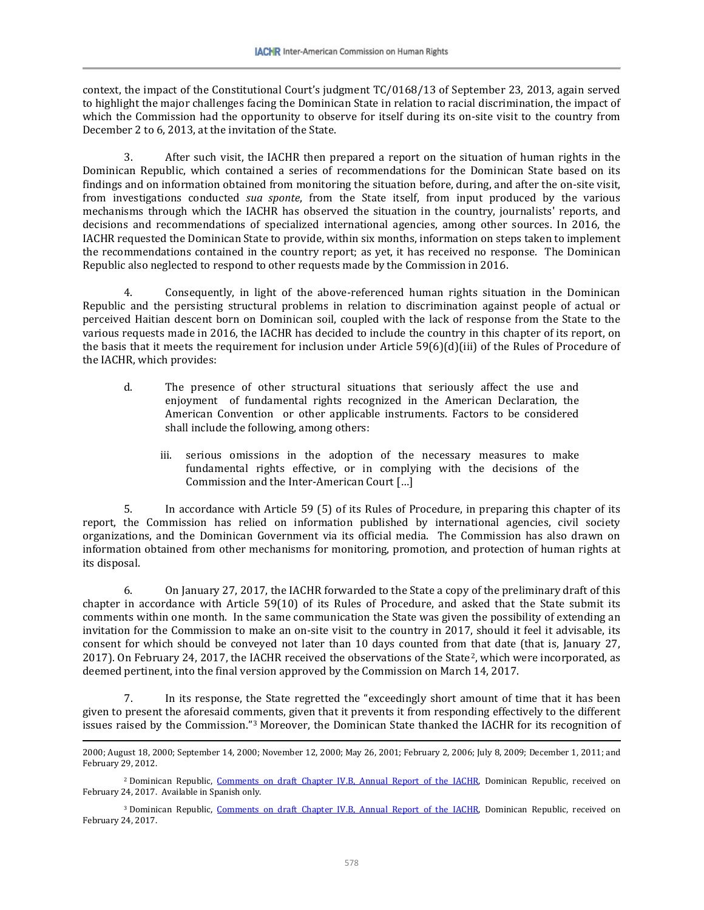context, the impact of the Constitutional Court's judgment TC/0168/13 of September 23, 2013, again served to highlight the major challenges facing the Dominican State in relation to racial discrimination, the impact of which the Commission had the opportunity to observe for itself during its on-site visit to the country from December 2 to 6, 2013, at the invitation of the State.

3. After such visit, the IACHR then prepared a report on the situation of human rights in the Dominican Republic, which contained a series of recommendations for the Dominican State based on its findings and on information obtained from monitoring the situation before, during, and after the on-site visit, from investigations conducted *sua sponte*, from the State itself, from input produced by the various mechanisms through which the IACHR has observed the situation in the country, journalists' reports, and decisions and recommendations of specialized international agencies, among other sources. In 2016, the IACHR requested the Dominican State to provide, within six months, information on steps taken to implement the recommendations contained in the country report; as yet, it has received no response. The Dominican Republic also neglected to respond to other requests made by the Commission in 2016.

4. Consequently, in light of the above-referenced human rights situation in the Dominican Republic and the persisting structural problems in relation to discrimination against people of actual or perceived Haitian descent born on Dominican soil, coupled with the lack of response from the State to the various requests made in 2016, the IACHR has decided to include the country in this chapter of its report, on the basis that it meets the requirement for inclusion under Article 59(6)(d)(iii) of the Rules of Procedure of the IACHR, which provides:

- d. The presence of other structural situations that seriously affect the use and enjoyment of fundamental rights recognized in the American Declaration, the American Convention or other applicable instruments. Factors to be considered shall include the following, among others:
	- iii. serious omissions in the adoption of the necessary measures to make fundamental rights effective, or in complying with the decisions of the Commission and the Inter-American Court […]

5. In accordance with Article 59 (5) of its Rules of Procedure, in preparing this chapter of its report, the Commission has relied on information published by international agencies, civil society organizations, and the Dominican Government via its official media. The Commission has also drawn on information obtained from other mechanisms for monitoring, promotion, and protection of human rights at its disposal.

6. On January 27, 2017, the IACHR forwarded to the State a copy of the preliminary draft of this chapter in accordance with Article 59(10) of its Rules of Procedure, and asked that the State submit its comments within one month. In the same communication the State was given the possibility of extending an invitation for the Commission to make an on-site visit to the country in 2017, should it feel it advisable, its consent for which should be conveyed not later than 10 days counted from that date (that is, January 27, 2017). On February 24, 2017, the IACHR received the observations of the State<sup>2</sup>, which were incorporated, as deemed pertinent, into the final version approved by the Commission on March 14, 2017.

7. In its response, the State regretted the "exceedingly short amount of time that it has been given to present the aforesaid comments, given that it prevents it from responding effectively to the different issues raised by the Commission."[3](#page-1-1) Moreover, the Dominican State thanked the IACHR for its recognition of

<sup>2000;</sup> August 18, 2000; September 14, 2000; November 12, 2000; May 26, 2001; February 2, 2006; July 8, 2009; December 1, 2011; and February 29, 2012.

<span id="page-1-0"></span><sup>&</sup>lt;sup>2</sup> Dominican Republic, [Comments on draft Chapter IV.B, Annual Report of the IACHR,](http://www.oas.org/es/cidh/docs/anual/2016/docs/RD-Observaciones2016.pdf) Dominican Republic, received on February 24, 2017. Available in Spanish only.

<span id="page-1-1"></span><sup>&</sup>lt;sup>3</sup> Dominican Republic, [Comments on draft Chapter IV.B, Annual Report of the IACHR,](http://www.oas.org/es/cidh/docs/anual/2016/docs/RD-Observaciones2016.pdf) Dominican Republic, received on February 24, 2017.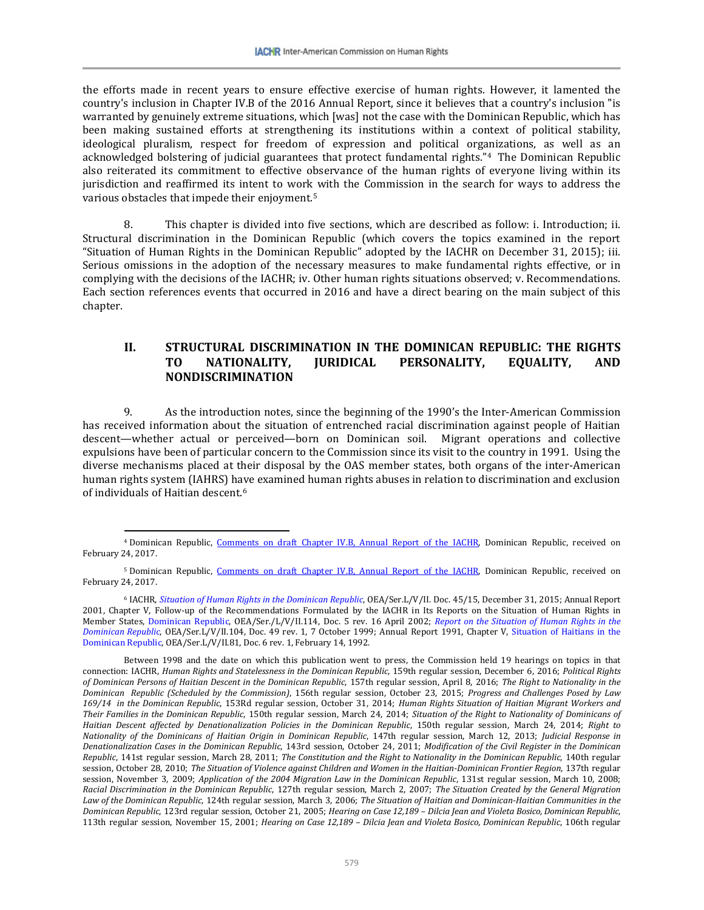the efforts made in recent years to ensure effective exercise of human rights. However, it lamented the country's inclusion in Chapter IV.B of the 2016 Annual Report, since it believes that a country's inclusion "is warranted by genuinely extreme situations, which [was] not the case with the Dominican Republic, which has been making sustained efforts at strengthening its institutions within a context of political stability, ideological pluralism, respect for freedom of expression and political organizations, as well as an acknowledged bolstering of judicial guarantees that protect fundamental rights."[4](#page-2-0) The Dominican Republic also reiterated its commitment to effective observance of the human rights of everyone living within its jurisdiction and reaffirmed its intent to work with the Commission in the search for ways to address the various obstacles that impede their enjoyment.[5](#page-2-1)

8. This chapter is divided into five sections, which are described as follow: i. Introduction; ii. Structural discrimination in the Dominican Republic (which covers the topics examined in the report "Situation of Human Rights in the Dominican Republic" adopted by the IACHR on December 31, 2015); iii. Serious omissions in the adoption of the necessary measures to make fundamental rights effective, or in complying with the decisions of the IACHR; iv. Other human rights situations observed; v. Recommendations. Each section references events that occurred in 2016 and have a direct bearing on the main subject of this chapter.

# **II. STRUCTURAL DISCRIMINATION IN THE DOMINICAN REPUBLIC: THE RIGHTS TO NATIONALITY, JURIDICAL PERSONALITY, EQUALITY, AND NONDISCRIMINATION**

9. As the introduction notes, since the beginning of the 1990's the Inter-American Commission has received information about the situation of entrenched racial discrimination against people of Haitian descent—whether actual or perceived—born on Dominican soil. Migrant operations and collective expulsions have been of particular concern to the Commission since its visit to the country in 1991. Using the diverse mechanisms placed at their disposal by the OAS member states, both organs of the inter-American human rights system (IAHRS) have examined human rights abuses in relation to discrimination and exclusion of individuals of Haitian descent.[6](#page-2-2)

<span id="page-2-0"></span><sup>4</sup> Dominican Republic, [Comments on draft Chapter IV.B, Annual Report of the IACHR,](http://www.oas.org/es/cidh/docs/anual/2016/docs/RD-Observaciones2016.pdf) Dominican Republic, received on February 24, 2017.

<span id="page-2-1"></span><sup>5</sup> Dominican Republic, [Comments on draft Chapter IV.B, Annual Report of the IACHR,](http://www.oas.org/es/cidh/docs/anual/2016/docs/RD-Observaciones2016.pdf) Dominican Republic, received on February 24, 2017.

<span id="page-2-2"></span><sup>6</sup> IACHR, *[Situation of Human Rights in the Dominican Republic](http://www.oas.org/es/cidh/informes/pdfs/RepublicaDominicana-2015.pdf)*, OEA/Ser.L/V/II. Doc. 45/15, December 31, 2015; Annual Report 2001, Chapter V, Follow-up of the Recommendations Formulated by the IACHR in Its Reports on the Situation of Human Rights in Member States, [Dominican Republic,](http://www.cidh.oas.org/annualrep/2001sp/cap.5d.htm) OEA/Ser./L/V/II.114, Doc. 5 rev. 16 April 2002; *[Report on the Situation of Human Rights in the](http://www.cidh.org/countryrep/Rep.Dominicana99sp/indice.htm)  [Dominican Republic](http://www.cidh.org/countryrep/Rep.Dominicana99sp/indice.htm)*, OEA/Ser.L/V/II.104, Doc. 49 rev. 1, 7 October 1999; Annual Report 1991, Chapter V, [Situation of Haitians in the](http://www.cidh.oas.org/annualrep/91span/cap.V.htm)  [Dominican Republic,](http://www.cidh.oas.org/annualrep/91span/cap.V.htm) OEA/Ser.L/V/II.81, Doc. 6 rev. 1, February 14, 1992.

Between 1998 and the date on which this publication went to press, the Commission held 19 hearings on topics in that connection: IACHR, *Human Rights and Statelessness in the Dominican Republic*, 159th regular session, December 6, 2016; *Political Rights of Dominican Persons of Haitian Descent in the Dominican Republic*, 157th regular session, April 8, 2016; *The Right to Nationality in the Dominican Republic (Scheduled by the Commission)*, 156th regular session, October 23, 2015; *Progress and Challenges Posed by Law 169/14 in the Dominican Republic*, 153Rd regular session, October 31, 2014; *Human Rights Situation of Haitian Migrant Workers and Their Families in the Dominican Republic*, 150th regular session, March 24, 2014; *Situation of the Right to Nationality of Dominicans of Haitian Descent affected by Denationalization Policies in the Dominican Republic*, 150th regular session, March 24, 2014; *Right to Nationality of the Dominicans of Haitian Origin in Dominican Republic*, 147th regular session, March 12, 2013; *Judicial Response in Denationalization Cases in the Dominican Republic*, 143rd session, October 24, 2011; *Modification of the Civil Register in the Dominican Republic*, 141st regular session, March 28, 2011; *The Constitution and the Right to Nationality in the Dominican Republic*, 140th regular session, October 28, 2010; *The Situation of Violence against Children and Women in the Haitian-Dominican Frontier Region*, 137th regular session, November 3, 2009; *Application of the 2004 Migration Law in the Dominican Republic*, 131st regular session, March 10, 2008; *Racial Discrimination in the Dominican Republic*, 127th regular session, March 2, 2007; *The Situation Created by the General Migration Law of the Dominican Republic*, 124th regular session, March 3, 2006; *The Situation of Haitian and Dominican-Haitian Communities in the Dominican Republic*, 123rd regular session, October 21, 2005; *Hearing on Case 12,189 – Dilcia Jean and Violeta Bosico, Dominican Republic*, 113th regular session, November 15, 2001; *Hearing on Case 12,189 – Dilcia Jean and Violeta Bosico, Dominican Republic*, 106th regular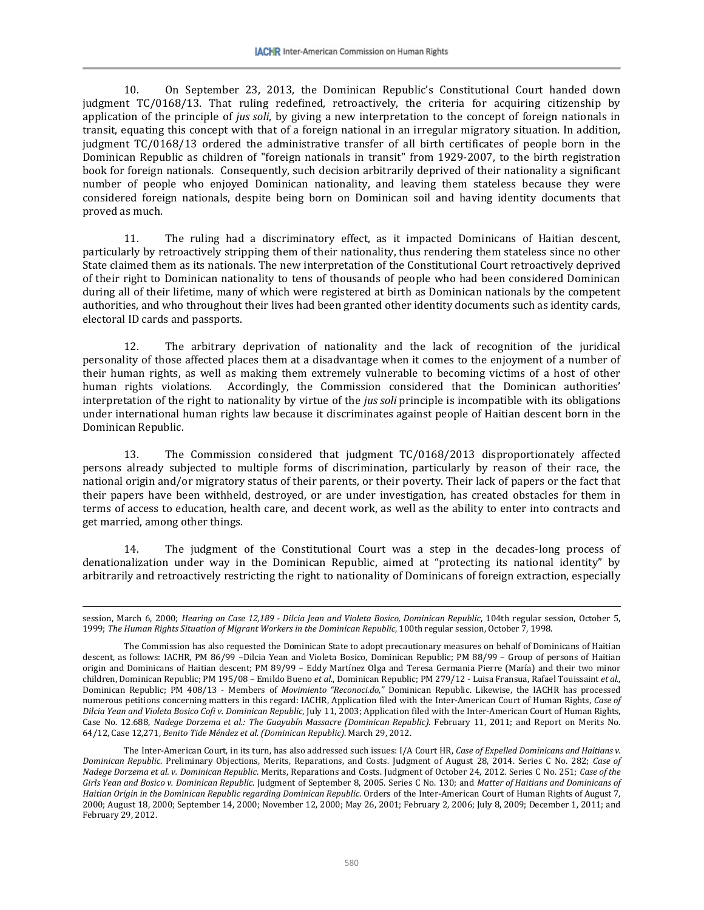10. On September 23, 2013, the Dominican Republic's Constitutional Court handed down judgment TC/0168/13. That ruling redefined, retroactively, the criteria for acquiring citizenship by application of the principle of *jus soli*, by giving a new interpretation to the concept of foreign nationals in transit, equating this concept with that of a foreign national in an irregular migratory situation. In addition, judgment TC/0168/13 ordered the administrative transfer of all birth certificates of people born in the Dominican Republic as children of "foreign nationals in transit" from 1929-2007, to the birth registration book for foreign nationals. Consequently, such decision arbitrarily deprived of their nationality a significant number of people who enjoyed Dominican nationality, and leaving them stateless because they were considered foreign nationals, despite being born on Dominican soil and having identity documents that proved as much.

11. The ruling had a discriminatory effect, as it impacted Dominicans of Haitian descent, particularly by retroactively stripping them of their nationality, thus rendering them stateless since no other State claimed them as its nationals. The new interpretation of the Constitutional Court retroactively deprived of their right to Dominican nationality to tens of thousands of people who had been considered Dominican during all of their lifetime, many of which were registered at birth as Dominican nationals by the competent authorities, and who throughout their lives had been granted other identity documents such as identity cards, electoral ID cards and passports.

12. The arbitrary deprivation of nationality and the lack of recognition of the juridical personality of those affected places them at a disadvantage when it comes to the enjoyment of a number of their human rights, as well as making them extremely vulnerable to becoming victims of a host of other human rights violations. Accordingly, the Commission considered that the Dominican authorities' interpretation of the right to nationality by virtue of the *jus soli* principle is incompatible with its obligations under international human rights law because it discriminates against people of Haitian descent born in the Dominican Republic.

13. The Commission considered that judgment TC/0168/2013 disproportionately affected persons already subjected to multiple forms of discrimination, particularly by reason of their race, the national origin and/or migratory status of their parents, or their poverty. Their lack of papers or the fact that their papers have been withheld, destroyed, or are under investigation, has created obstacles for them in terms of access to education, health care, and decent work, as well as the ability to enter into contracts and get married, among other things.

14. The judgment of the Constitutional Court was a step in the decades-long process of denationalization under way in the Dominican Republic, aimed at "protecting its national identity" by arbitrarily and retroactively restricting the right to nationality of Dominicans of foreign extraction, especially

session, March 6, 2000; *Hearing on Case 12,189 - Dilcia Jean and Violeta Bosico, Dominican Republic*, 104th regular session, October 5, 1999; *The Human Rights Situation of Migrant Workers in the Dominican Republic*, 100th regular session, October 7, 1998.

The Commission has also requested the Dominican State to adopt precautionary measures on behalf of Dominicans of Haitian descent, as follows: IACHR, PM 86/99 –Dilcia Yean and Violeta Bosico, Dominican Republic; PM 88/99 – Group of persons of Haitian origin and Dominicans of Haitian descent; PM 89/99 – Eddy Martínez Olga and Teresa Germania Pierre (María) and their two minor children, Dominican Republic; PM 195/08 – Emildo Bueno *et al*., Dominican Republic; PM 279/12 - Luisa Fransua, Rafael Touissaint *et al*., Dominican Republic; PM 408/13 - Members of *Movimiento "Reconoci.do,"* Dominican Republic. Likewise, the IACHR has processed numerous petitions concerning matters in this regard: IACHR, Application filed with the Inter-American Court of Human Rights, *Case of Dilcia Yean and Violeta Bosico Cofi v. Dominican Republic*, July 11, 2003; Application filed with the Inter-American Court of Human Rights, Case No. 12.688, *Nadege Dorzema et al.: The Guayubín Massacre (Dominican Republic)*. February 11, 2011; and Report on Merits No. 64/12, Case 12,271, *Benito Tide Méndez et al. (Dominican Republic)*. March 29, 2012.

The Inter-American Court, in its turn, has also addressed such issues: I/A Court HR, *Case of Expelled Dominicans and Haitians v. Dominican Republic*. Preliminary Objections, Merits, Reparations, and Costs. Judgment of August 28, 2014. Series C No. 282; *Case of Nadege Dorzema et al. v. Dominican Republic*. Merits, Reparations and Costs. Judgment of October 24, 2012. Series C No. 251; *Case of the Girls Yean and Bosico v. Dominican Republic*. Judgment of September 8, 2005. Series C No. 130; and *Matter of Haitians and Dominicans of Haitian Origin in the Dominican Republic regarding Dominican Republic*. Orders of the Inter-American Court of Human Rights of August 7, 2000; August 18, 2000; September 14, 2000; November 12, 2000; May 26, 2001; February 2, 2006; July 8, 2009; December 1, 2011; and February 29, 2012.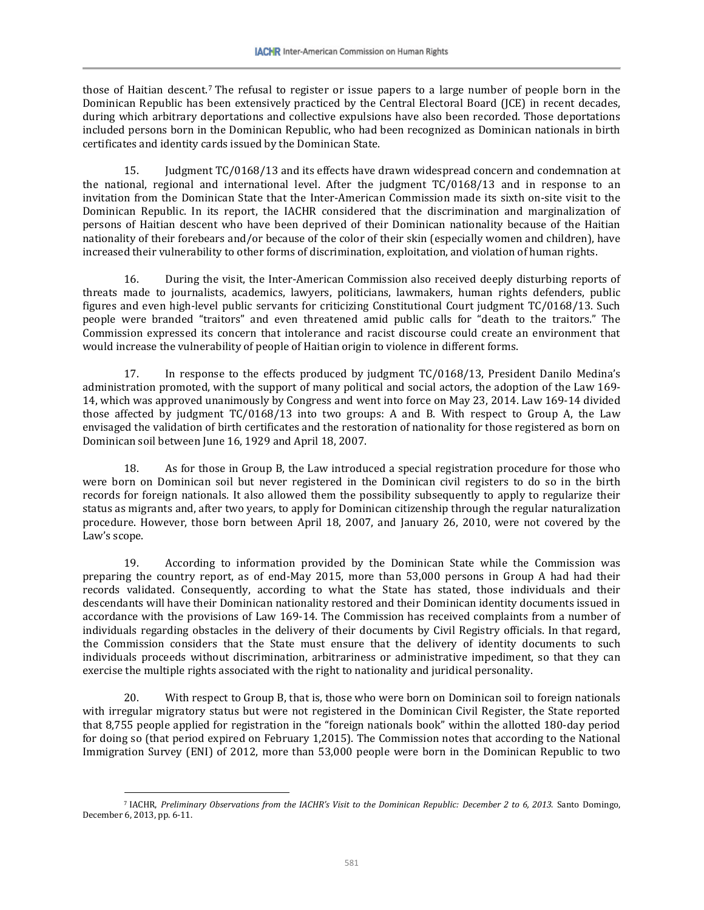those of Haitian descent.[7](#page-4-0) The refusal to register or issue papers to a large number of people born in the Dominican Republic has been extensively practiced by the Central Electoral Board (JCE) in recent decades, during which arbitrary deportations and collective expulsions have also been recorded. Those deportations included persons born in the Dominican Republic, who had been recognized as Dominican nationals in birth certificates and identity cards issued by the Dominican State.

15. Judgment TC/0168/13 and its effects have drawn widespread concern and condemnation at the national, regional and international level. After the judgment TC/0168/13 and in response to an invitation from the Dominican State that the Inter-American Commission made its sixth on-site visit to the Dominican Republic. In its report, the IACHR considered that the discrimination and marginalization of persons of Haitian descent who have been deprived of their Dominican nationality because of the Haitian nationality of their forebears and/or because of the color of their skin (especially women and children), have increased their vulnerability to other forms of discrimination, exploitation, and violation of human rights.

16. During the visit, the Inter-American Commission also received deeply disturbing reports of threats made to journalists, academics, lawyers, politicians, lawmakers, human rights defenders, public figures and even high-level public servants for criticizing Constitutional Court judgment TC/0168/13. Such people were branded "traitors" and even threatened amid public calls for "death to the traitors." The Commission expressed its concern that intolerance and racist discourse could create an environment that would increase the vulnerability of people of Haitian origin to violence in different forms.

17. In response to the effects produced by judgment TC/0168/13, President Danilo Medina's administration promoted, with the support of many political and social actors, the adoption of the Law 169- 14, which was approved unanimously by Congress and went into force on May 23, 2014. Law 169-14 divided those affected by judgment TC/0168/13 into two groups: A and B. With respect to Group A, the Law envisaged the validation of birth certificates and the restoration of nationality for those registered as born on Dominican soil between June 16, 1929 and April 18, 2007.

18. As for those in Group B, the Law introduced a special registration procedure for those who were born on Dominican soil but never registered in the Dominican civil registers to do so in the birth records for foreign nationals. It also allowed them the possibility subsequently to apply to regularize their status as migrants and, after two years, to apply for Dominican citizenship through the regular naturalization procedure. However, those born between April 18, 2007, and January 26, 2010, were not covered by the Law's scope.

19. According to information provided by the Dominican State while the Commission was preparing the country report, as of end-May 2015, more than 53,000 persons in Group A had had their records validated. Consequently, according to what the State has stated, those individuals and their descendants will have their Dominican nationality restored and their Dominican identity documents issued in accordance with the provisions of Law 169-14. The Commission has received complaints from a number of individuals regarding obstacles in the delivery of their documents by Civil Registry officials. In that regard, the Commission considers that the State must ensure that the delivery of identity documents to such individuals proceeds without discrimination, arbitrariness or administrative impediment, so that they can exercise the multiple rights associated with the right to nationality and juridical personality.

20. With respect to Group B, that is, those who were born on Dominican soil to foreign nationals with irregular migratory status but were not registered in the Dominican Civil Register, the State reported that 8,755 people applied for registration in the "foreign nationals book" within the allotted 180-day period for doing so (that period expired on February 1,2015). The Commission notes that according to the National Immigration Survey (ENI) of 2012, more than 53,000 people were born in the Dominican Republic to two

<span id="page-4-0"></span> $\overline{\phantom{a}}$ <sup>7</sup> IACHR, *Preliminary Observations from the IACHR's Visit to the Dominican Republic: December 2 to 6, 2013*. Santo Domingo, December 6, 2013, pp. 6-11.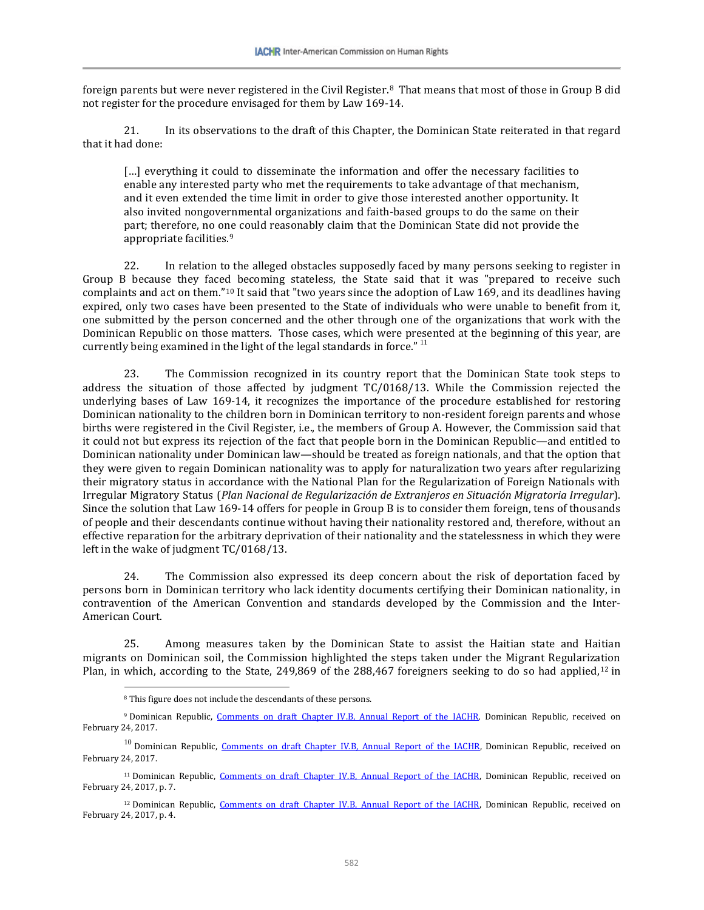foreign parents but were never registered in the Civil Register.[8](#page-5-0) That means that most of those in Group B did not register for the procedure envisaged for them by Law 169-14.

21. In its observations to the draft of this Chapter, the Dominican State reiterated in that regard that it had done:

[...] everything it could to disseminate the information and offer the necessary facilities to enable any interested party who met the requirements to take advantage of that mechanism, and it even extended the time limit in order to give those interested another opportunity. It also invited nongovernmental organizations and faith-based groups to do the same on their part; therefore, no one could reasonably claim that the Dominican State did not provide the appropriate facilities.<sup>[9](#page-5-1)</sup>

22. In relation to the alleged obstacles supposedly faced by many persons seeking to register in Group B because they faced becoming stateless, the State said that it was "prepared to receive such complaints and act on them."[10](#page-5-2) It said that "two years since the adoption of Law 169, and its deadlines having expired, only two cases have been presented to the State of individuals who were unable to benefit from it, one submitted by the person concerned and the other through one of the organizations that work with the Dominican Republic on those matters. Those cases, which were presented at the beginning of this year, are currently being examined in the light of the legal standards in force."<sup>[11](#page-5-3)</sup>

23. The Commission recognized in its country report that the Dominican State took steps to address the situation of those affected by judgment TC/0168/13. While the Commission rejected the underlying bases of Law 169-14, it recognizes the importance of the procedure established for restoring Dominican nationality to the children born in Dominican territory to non-resident foreign parents and whose births were registered in the Civil Register, i.e., the members of Group A. However, the Commission said that it could not but express its rejection of the fact that people born in the Dominican Republic—and entitled to Dominican nationality under Dominican law—should be treated as foreign nationals, and that the option that they were given to regain Dominican nationality was to apply for naturalization two years after regularizing their migratory status in accordance with the National Plan for the Regularization of Foreign Nationals with Irregular Migratory Status (*Plan Nacional de Regularización de Extranjeros en Situación Migratoria Irregular*). Since the solution that Law 169-14 offers for people in Group B is to consider them foreign, tens of thousands of people and their descendants continue without having their nationality restored and, therefore, without an effective reparation for the arbitrary deprivation of their nationality and the statelessness in which they were left in the wake of judgment TC/0168/13.

24. The Commission also expressed its deep concern about the risk of deportation faced by persons born in Dominican territory who lack identity documents certifying their Dominican nationality, in contravention of the American Convention and standards developed by the Commission and the Inter-American Court.

25. Among measures taken by the Dominican State to assist the Haitian state and Haitian migrants on Dominican soil, the Commission highlighted the steps taken under the Migrant Regulariz[atio](#page-5-4)n Plan, in which, according to the State, 249,869 of the 288,467 foreigners seeking to do so had applied,<sup>12</sup> in

l

<sup>8</sup> This figure does not include the descendants of these persons.

<span id="page-5-1"></span><span id="page-5-0"></span><sup>&</sup>lt;sup>9</sup> Dominican Republic, [Comments on draft Chapter IV.B, Annual Report of the IACHR,](http://www.oas.org/es/cidh/docs/anual/2016/docs/RD-Observaciones2016.pdf) Dominican Republic, received on February 24, 2017.

<span id="page-5-2"></span><sup>&</sup>lt;sup>10</sup> Dominican Republic, [Comments on draft Chapter IV.B, Annual Report of the IACHR,](http://www.oas.org/es/cidh/docs/anual/2016/docs/RD-Observaciones2016.pdf) Dominican Republic, received on February 24, 2017.

<span id="page-5-3"></span><sup>&</sup>lt;sup>11</sup> Dominican Republic, [Comments on draft Chapter IV.B, Annual Report of](http://www.oas.org/es/cidh/docs/anual/2016/docs/RD-Observaciones2016.pdf) the IACHR, Dominican Republic, received on February 24, 2017, p. 7.

<span id="page-5-4"></span><sup>&</sup>lt;sup>12</sup> Dominican Republic, [Comments on draft Chapter IV.B, Annual Report of the IACHR,](http://www.oas.org/es/cidh/docs/anual/2016/docs/RD-Observaciones2016.pdf) Dominican Republic, received on February 24, 2017, p. 4.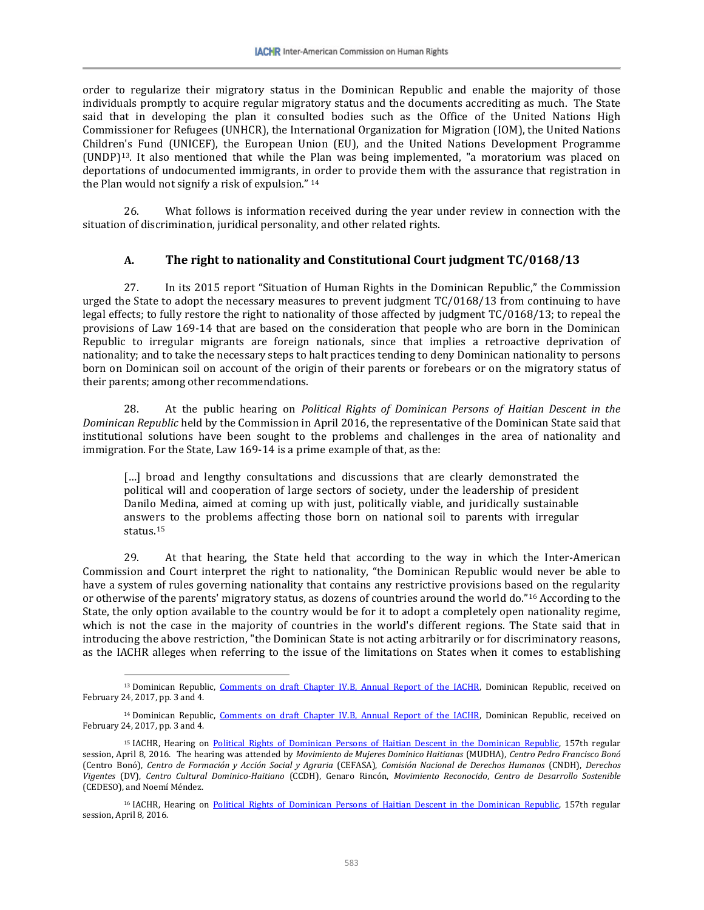order to regularize their migratory status in the Dominican Republic and enable the majority of those individuals promptly to acquire regular migratory status and the documents accrediting as much. The State said that in developing the plan it consulted bodies such as the Office of the United Nations High Commissioner for Refugees (UNHCR), the International Organization for Migration (IOM), the United Nations Children's Fund (UNICEF), the European Union (EU), and the United Nations Development Programme (UNDP)[13.](#page-6-0) It also mentioned that while the Plan was being implemented, "a moratorium was placed on deportations of undocumented immigrants, i[n o](#page-6-1)rder to provide them with the assurance that registration in the Plan would not signify a risk of expulsion." <sup>14</sup>

26. What follows is information received during the year under review in connection with the situation of discrimination, juridical personality, and other related rights.

# **A. The right to nationality and Constitutional Court judgment TC/0168/13**

27. In its 2015 report "Situation of Human Rights in the Dominican Republic," the Commission urged the State to adopt the necessary measures to prevent judgment TC/0168/13 from continuing to have legal effects; to fully restore the right to nationality of those affected by judgment TC/0168/13; to repeal the provisions of Law 169-14 that are based on the consideration that people who are born in the Dominican Republic to irregular migrants are foreign nationals, since that implies a retroactive deprivation of nationality; and to take the necessary steps to halt practices tending to deny Dominican nationality to persons born on Dominican soil on account of the origin of their parents or forebears or on the migratory status of their parents; among other recommendations.

28. At the public hearing on *Political Rights of Dominican Persons of Haitian Descent in the Dominican Republic* held by the Commission in April 2016, the representative of the Dominican State said that institutional solutions have been sought to the problems and challenges in the area of nationality and immigration. For the State, Law 169-14 is a prime example of that, as the:

[...] broad and lengthy consultations and discussions that are clearly demonstrated the political will and cooperation of large sectors of society, under the leadership of president Danilo Medina, aimed at coming up with just, politically viable, and juridically sustainable answe[rs](#page-6-2) to the problems affecting those born on national soil to parents with irregular status.15

29. At that hearing, the State held that according to the way in which the Inter-American Commission and Court interpret the right to nationality, "the Dominican Republic would never be able to have a system of rules governing nationality that contains any restrictive provisions based on the regularity or otherwise of the parents' migratory status, as dozens of countries around the world do."[16](#page-6-3) According to the State, the only option available to the country would be for it to adopt a completely open nationality regime, which is not the case in the majority of countries in the world's different regions. The State said that in introducing the above restriction, "the Dominican State is not acting arbitrarily or for discriminatory reasons, as the IACHR alleges when referring to the issue of the limitations on States when it comes to establishing

<span id="page-6-0"></span><sup>&</sup>lt;sup>13</sup> Dominican Republic, [Comments on draft Chapter IV.B, Annual Report of the IACHR,](http://www.oas.org/es/cidh/docs/anual/2016/docs/RD-Observaciones2016.pdf) Dominican Republic, received on February 24, 2017, pp. 3 and 4.

<span id="page-6-1"></span><sup>&</sup>lt;sup>14</sup> Dominican Republic, [Comments on draft Chapter IV.B, Annual Report of the IACHR,](http://www.oas.org/es/cidh/docs/anual/2016/docs/RD-Observaciones2016.pdf) Dominican Republic, received on February 24, 2017, pp. 3 and 4.

<span id="page-6-2"></span><sup>&</sup>lt;sup>15</sup> IACHR, Hearing on [Political Rights of Dominican Persons of Haitian Descent in the Dominican Republic,](https://www.youtube.com/watch?v=gudI8JwplvI) 157th regular session, April 8, 2016. The hearing was attended by *Movimiento de Mujeres Dominico Haitianas* (MUDHA), *Centro Pedro Francisco Bonó* (Centro Bonó), *Centro de Formación y Acción Social y Agraria* (CEFASA), *Comisión Nacional de Derechos Humanos* (CNDH), *Derechos Vigentes* (DV), *Centro Cultural Dominico-Haitiano* (CCDH), Genaro Rincón, *Movimiento Reconocido*, *Centro de Desarrollo Sostenible* (CEDESO), and Noemí Méndez.

<span id="page-6-3"></span><sup>&</sup>lt;sup>16</sup> IACHR, Hearing on [Political Rights of Dominican Persons of Haitian Descent in the Dominican Republic,](https://www.youtube.com/watch?v=gudI8JwplvI) 157th regular session, April 8, 2016.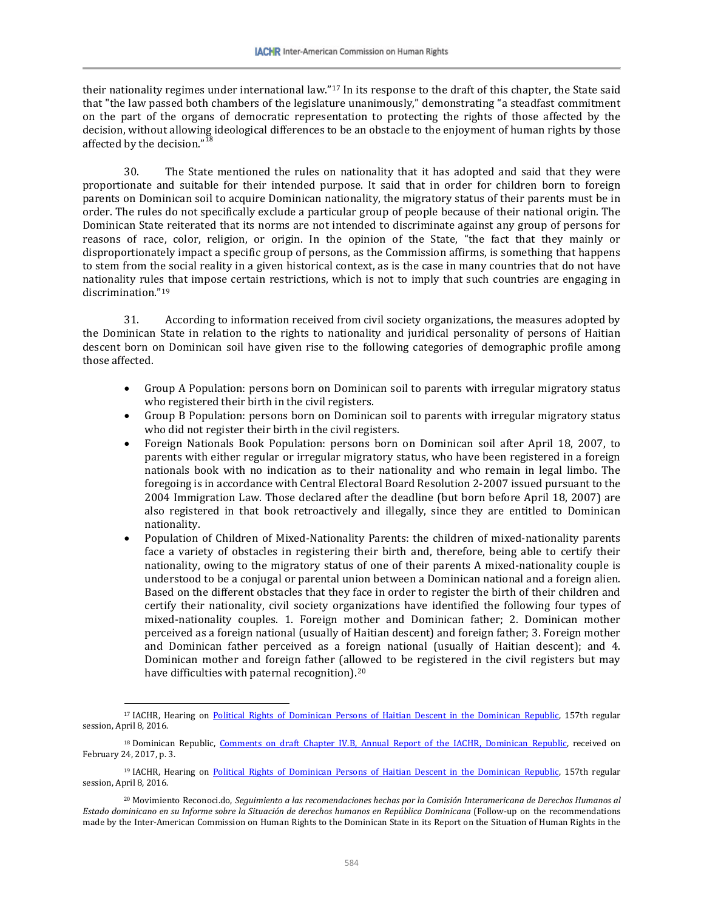their nationality regimes under international law."[17](#page-7-0) In its response to the draft of this chapter, the State said that "the law passed both chambers of the legislature unanimously," demonstrating "a steadfast commitment on the part of the organs of democratic representation to protecting the rights of those affected by the decision, without allowing ideological differences to be an obstacle to the enjoyment of human rights by those affected by the decision."

30. The State mentioned the rules on nationality that it has adopted and said that they were proportionate and suitable for their intended purpose. It said that in order for children born to foreign parents on Dominican soil to acquire Dominican nationality, the migratory status of their parents must be in order. The rules do not specifically exclude a particular group of people because of their national origin. The Dominican State reiterated that its norms are not intended to discriminate against any group of persons for reasons of race, color, religion, or origin. In the opinion of the State, "the fact that they mainly or disproportionately impact a specific group of persons, as the Commission affirms, is something that happens to stem from the social reality in a given historical context, as is the case in many countries that do not have nationality rules that impose certain restrictions, which is not to imply that such countries are engaging in discrimination."[19](#page-7-2)

31. According to information received from civil society organizations, the measures adopted by the Dominican State in relation to the rights to nationality and juridical personality of persons of Haitian descent born on Dominican soil have given rise to the following categories of demographic profile among those affected.

- Group A Population: persons born on Dominican soil to parents with irregular migratory status who registered their birth in the civil registers.
- Group B Population: persons born on Dominican soil to parents with irregular migratory status who did not register their birth in the civil registers.
- Foreign Nationals Book Population: persons born on Dominican soil after April 18, 2007, to parents with either regular or irregular migratory status, who have been registered in a foreign nationals book with no indication as to their nationality and who remain in legal limbo. The foregoing is in accordance with Central Electoral Board Resolution 2-2007 issued pursuant to the 2004 Immigration Law. Those declared after the deadline (but born before April 18, 2007) are also registered in that book retroactively and illegally, since they are entitled to Dominican nationality.
- Population of Children of Mixed-Nationality Parents: the children of mixed-nationality parents face a variety of obstacles in registering their birth and, therefore, being able to certify their nationality, owing to the migratory status of one of their parents A mixed-nationality couple is understood to be a conjugal or parental union between a Dominican national and a foreign alien. Based on the different obstacles that they face in order to register the birth of their children and certify their nationality, civil society organizations have identified the following four types of mixed-nationality couples. 1. Foreign mother and Dominican father; 2. Dominican mother perceived as a foreign national (usually of Haitian descent) and foreign father; 3. Foreign mother and Dominican father perceived as a foreign national (usually of Haitian descent); and 4. Dominican mother and foreign father (allowed to be registered in the civil registers but may have difficulties with paternal recognition).<sup>[20](#page-7-3)</sup>

<span id="page-7-0"></span><sup>&</sup>lt;sup>17</sup> IACHR, Hearing on [Political Rights of Dominican Persons of Haitian Descent in the Dominican Republic,](https://www.youtube.com/watch?v=gudI8JwplvI) 157th regular session, April 8, 2016.

<span id="page-7-1"></span><sup>&</sup>lt;sup>18</sup> Dominican Republic, [Comments on draft Chapter IV.B, Annual Report of the IACHR, Dominican Republic,](http://www.oas.org/es/cidh/docs/anual/2016/docs/RD-Observaciones2016.pdf) received on February 24, 2017, p. 3.

<span id="page-7-2"></span><sup>&</sup>lt;sup>19</sup> IACHR, Hearing on [Political Rights of Dominican Persons of Haitian Descent in the Dominican Republic,](https://www.youtube.com/watch?v=gudI8JwplvI) 157th regular session, April 8, 2016.

<span id="page-7-3"></span><sup>20</sup> Movimiento Reconoci.do, *Seguimiento a las recomendaciones hechas por la Comisión Interamericana de Derechos Humanos al Estado dominicano en su Informe sobre la Situación de derechos humanos en República Dominicana* (Follow-up on the recommendations made by the Inter-American Commission on Human Rights to the Dominican State in its Report on the Situation of Human Rights in the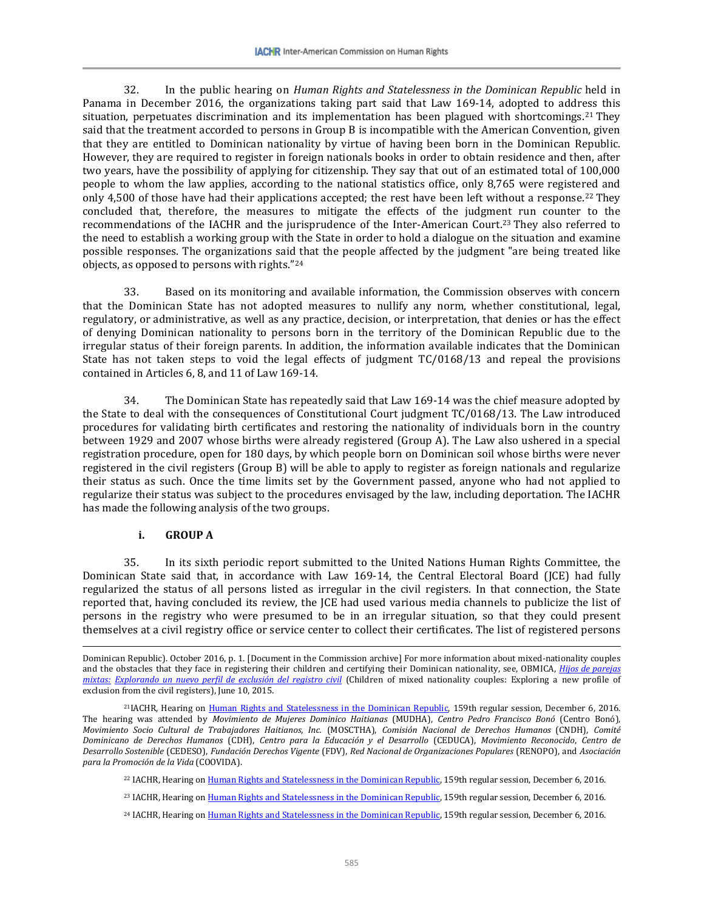32. In the public hearing on *Human Rights and Statelessness in the Dominican Republic* held in Panama in December 2016, the organizations taking part said that Law 169-14, adopted to address this situation, perpetuates discrimination and its implementation has been plagued with shortcomings.[21](#page-8-0) They said that the treatment accorded to persons in Group B is incompatible with the American Convention, given that they are entitled to Dominican nationality by virtue of having been born in the Dominican Republic. However, they are required to register in foreign nationals books in order to obtain residence and then, after two years, have the possibility of applying for citizenship. They say that out of an estimated total of 100,000 people to whom the law applies, according to the national statistics office, only 8,765 were registered and only 4,500 of those have had their applications accepted; the rest have been left without a response.<sup>[22](#page-8-1)</sup> They concluded that, therefore, the measures to mitigate the effects of the judgment run counter to the recommendations of the IACHR and the jurisprudence of the Inter-American Court.[23](#page-8-2) They also referred to the need to establish a working group with the State in order to hold a dialogue on the situation and examine possible responses. The organizations said that the people affected by the judgment "are being treated like objects, as opposed to persons with rights."[24](#page-8-3)

33. Based on its monitoring and available information, the Commission observes with concern that the Dominican State has not adopted measures to nullify any norm, whether constitutional, legal, regulatory, or administrative, as well as any practice, decision, or interpretation, that denies or has the effect of denying Dominican nationality to persons born in the territory of the Dominican Republic due to the irregular status of their foreign parents. In addition, the information available indicates that the Dominican State has not taken steps to void the legal effects of judgment TC/0168/13 and repeal the provisions contained in Articles 6, 8, and 11 of Law 169-14.

34. The Dominican State has repeatedly said that Law 169-14 was the chief measure adopted by the State to deal with the consequences of Constitutional Court judgment TC/0168/13. The Law introduced procedures for validating birth certificates and restoring the nationality of individuals born in the country between 1929 and 2007 whose births were already registered (Group A). The Law also ushered in a special registration procedure, open for 180 days, by which people born on Dominican soil whose births were never registered in the civil registers (Group B) will be able to apply to register as foreign nationals and regularize their status as such. Once the time limits set by the Government passed, anyone who had not applied to regularize their status was subject to the procedures envisaged by the law, including deportation. The IACHR has made the following analysis of the two groups.

#### **i. GROUP A**

 $\overline{\phantom{a}}$ 

35. In its sixth periodic report submitted to the United Nations Human Rights Committee, the Dominican State said that, in accordance with Law 169-14, the Central Electoral Board (JCE) had fully regularized the status of all persons listed as irregular in the civil registers. In that connection, the State reported that, having concluded its review, the JCE had used various media channels to publicize the list of persons in the registry who were presumed to be in an irregular situation, so that they could present themselves at a civil registry office or service center to collect their certificates. The list of registered persons

Dominican Republic). October 2016, p. 1. [Document in the Commission archive] For more information about mixed-nationality couples and the obstacles that they face in registering their children and certifying their Dominican nationality, see, OBMICA, *[Hijos de parejas](http://www.obmica.org/index.php/actualidad/23-derecho-a-nacionalidad/123-hijos-de-parejas-mixtas-explorando-un-nuevo-perfil-de-exclusion-del-registro-civil%209-14)  mixtas: [Explorando un nuevo perfil de exclusión del registro civil](http://www.obmica.org/index.php/actualidad/23-derecho-a-nacionalidad/123-hijos-de-parejas-mixtas-explorando-un-nuevo-perfil-de-exclusion-del-registro-civil%209-14)* (Children of mixed nationality couples: Exploring a new profile of exclusion from the civil registers), June 10, 2015.

<span id="page-8-2"></span><span id="page-8-1"></span><span id="page-8-0"></span><sup>&</sup>lt;sup>21</sup>IACHR, Hearing o[n Human Rights and Statelessness in the Dominican Republic,](https://www.youtube.com/watch?v=Mdj7bjHuDwo) 159th regular session, December 6, 2016. The hearing was attended by *Movimiento de Mujeres Dominico Haitianas* (MUDHA), *Centro Pedro Francisco Bonó* (Centro Bonó), *Movimiento Socio Cultural de Trabajadores Haitianos, Inc.* (MOSCTHA), *Comisión Nacional de Derechos Humanos* (CNDH), *Comité Dominicano de Derechos Humanos* (CDH), *Centro para la Educación y el Desarrollo* (CEDUCA), *Movimiento Reconocido*, *Centro de Desarrollo Sostenible* (CEDESO), *Fundación Derechos Vigente* (FDV), *Red Nacional de Organizaciones Populares* (RENOPO), and *Asociación para la Promoción de la Vida* (COOVIDA).

<sup>22</sup> IACHR, Hearing o[n Human Rights and Statelessness in the Dominican Republic,](https://www.youtube.com/watch?v=Mdj7bjHuDwo) 159th regular session, December 6, 2016.

<sup>&</sup>lt;sup>23</sup> IACHR, Hearing o[n Human Rights and Statelessness in the Dominican Republic,](https://www.youtube.com/watch?v=Mdj7bjHuDwo) 159th regular session, December 6, 2016.

<span id="page-8-3"></span><sup>&</sup>lt;sup>24</sup> IACHR, Hearing o[n Human Rights and Statelessness in the Dominican Republic,](https://www.youtube.com/watch?v=Mdj7bjHuDwo) 159th regular session, December 6, 2016.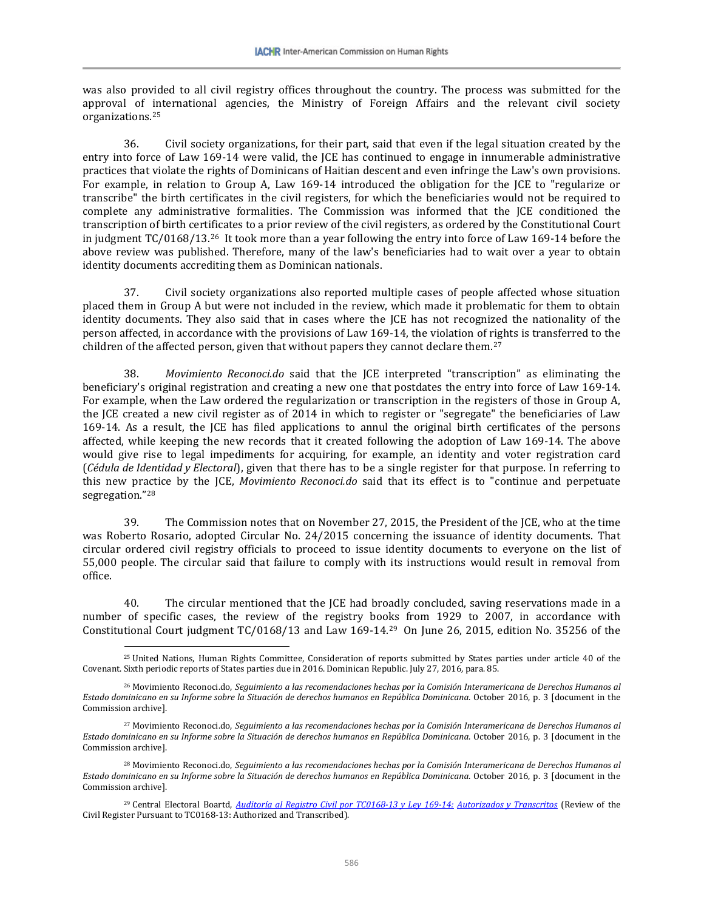was also provided to all civil registry offices throughout the country. The process was submitted for the approval of international agencies, the Ministry of Foreign Affairs and the relevant civil society organizations.[25](#page-9-0)

36. Civil society organizations, for their part, said that even if the legal situation created by the entry into force of Law 169-14 were valid, the JCE has continued to engage in innumerable administrative practices that violate the rights of Dominicans of Haitian descent and even infringe the Law's own provisions. For example, in relation to Group A, Law 169-14 introduced the obligation for the JCE to "regularize or transcribe" the birth certificates in the civil registers, for which the beneficiaries would not be required to complete any administrative formalities. The Commission was informed that the JCE conditioned the transcription of birth certificates to a prior review of the civil registers, as ordered by the Constitutional Court in judgment TC/0168/13.[26](#page-9-1) It took more than a year following the entry into force of Law 169-14 before the above review was published. Therefore, many of the law's beneficiaries had to wait over a year to obtain identity documents accrediting them as Dominican nationals.

37. Civil society organizations also reported multiple cases of people affected whose situation placed them in Group A but were not included in the review, which made it problematic for them to obtain identity documents. They also said that in cases where the JCE has not recognized the nationality of the person affected, in accordance with the provisions of Law 169-14, the violation of rights is transferred to the children of the affected person, given that without papers they cannot declare them.<sup>27</sup>

38. *Movimiento Reconoci.do* said that the JCE interpreted "transcription" as eliminating the beneficiary's original registration and creating a new one that postdates the entry into force of Law 169-14. For example, when the Law ordered the regularization or transcription in the registers of those in Group A, the JCE created a new civil register as of 2014 in which to register or "segregate" the beneficiaries of Law 169-14. As a result, the JCE has filed applications to annul the original birth certificates of the persons affected, while keeping the new records that it created following the adoption of Law 169-14. The above would give rise to legal impediments for acquiring, for example, an identity and voter registration card (*Cédula de Identidad y Electoral*), given that there has to be a single register for that purpose. In referring to this new practice by the JCE, *Movimiento Reconoci.do* said that its effect is to "continue and perpetuate segregation."[28](#page-9-3)

39. The Commission notes that on November 27, 2015, the President of the JCE, who at the time was Roberto Rosario, adopted Circular No. 24/2015 concerning the issuance of identity documents. That circular ordered civil registry officials to proceed to issue identity documents to everyone on the list of 55,000 people. The circular said that failure to comply with its instructions would result in removal from office.

40. The circular mentioned that the JCE had broadly concluded, saving reservations made in a number of specific cases, the review of the registry books from 1929 to 2007, in accordance with Constitutional Court judgment TC/0168/13 and Law 169-14.[29](#page-9-4) On June 26, 2015, edition No. 35256 of the

<span id="page-9-0"></span><sup>25</sup> United Nations, Human Rights Committee, Consideration of reports submitted by States parties under article 40 of the Covenant. Sixth periodic reports of States parties due in 2016. Dominican Republic. July 27, 2016, para. 85.

<span id="page-9-1"></span><sup>26</sup> Movimiento Reconoci.do, *Seguimiento a las recomendaciones hechas por la Comisión Interamericana de Derechos Humanos al Estado dominicano en su Informe sobre la Situación de derechos humanos en República Dominicana*. October 2016, p. 3 [document in the Commission archive].

<span id="page-9-2"></span><sup>27</sup> Movimiento Reconoci.do, *Seguimiento a las recomendaciones hechas por la Comisión Interamericana de Derechos Humanos al Estado dominicano en su Informe sobre la Situación de derechos humanos en República Dominicana*. October 2016, p. 3 [document in the Commission archive].

<span id="page-9-3"></span><sup>28</sup> Movimiento Reconoci.do, *Seguimiento a las recomendaciones hechas por la Comisión Interamericana de Derechos Humanos al Estado dominicano en su Informe sobre la Situación de derechos humanos en República Dominicana*. October 2016, p. 3 [document in the Commission archive].

<span id="page-9-4"></span><sup>29</sup> Central Electoral Boartd, *[Auditoría al Registro Civil por TC0168-13 y Ley 169-14:](http://jce.gob.do/Registro-Civil/Auditoria-Consulta-Registros-Ley-169-14-TC0168-13) Autorizados y Transcritos* (Review of the Civil Register Pursuant to TC0168-13: Authorized and Transcribed).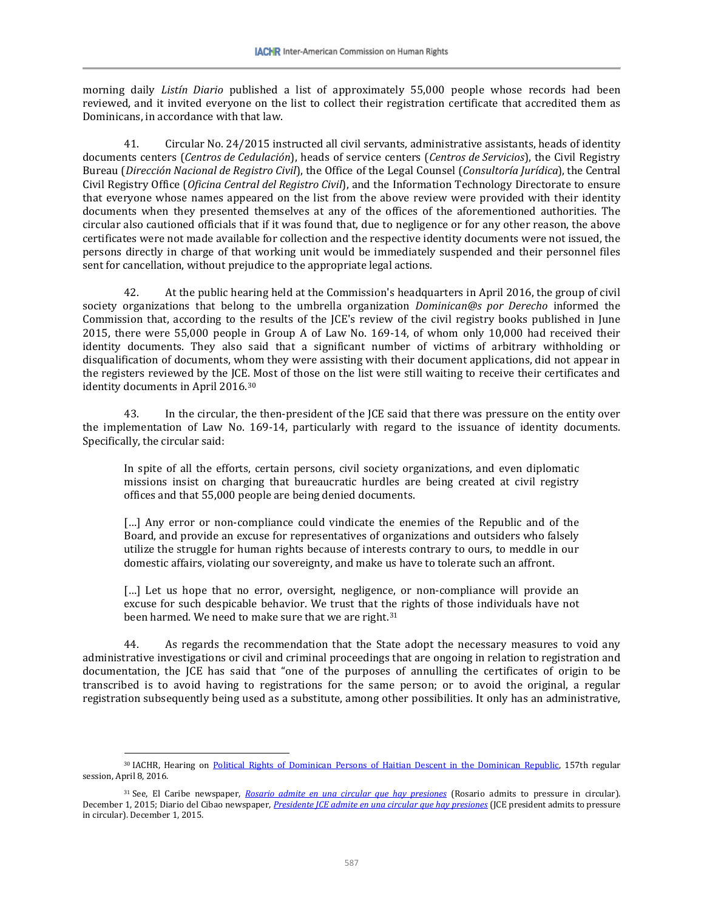morning daily *Listín Diario* published a list of approximately 55,000 people whose records had been reviewed, and it invited everyone on the list to collect their registration certificate that accredited them as Dominicans, in accordance with that law.

41. Circular No. 24/2015 instructed all civil servants, administrative assistants, heads of identity documents centers (*Centros de Cedulación*), heads of service centers (*Centros de Servicios*), the Civil Registry Bureau (*Dirección Nacional de Registro Civil*), the Office of the Legal Counsel (*Consultoría Jurídica*), the Central Civil Registry Office (*Oficina Central del Registro Civil*), and the Information Technology Directorate to ensure that everyone whose names appeared on the list from the above review were provided with their identity documents when they presented themselves at any of the offices of the aforementioned authorities. The circular also cautioned officials that if it was found that, due to negligence or for any other reason, the above certificates were not made available for collection and the respective identity documents were not issued, the persons directly in charge of that working unit would be immediately suspended and their personnel files sent for cancellation, without prejudice to the appropriate legal actions.

42. At the public hearing held at the Commission's headquarters in April 2016, the group of civil society organizations that belong to the umbrella organization *Dominican@s por Derecho* informed the Commission that, according to the results of the JCE's review of the civil registry books published in June 2015, there were 55,000 people in Group A of Law No. 169-14, of whom only 10,000 had received their identity documents. They also said that a significant number of victims of arbitrary withholding or disqualification of documents, whom they were assisting with their document applications, did not appear in the registers reviewed by the JCE. Most of those on the list were still waiting to receive their certificates and identity documents in April 2016.[30](#page-10-0)

43. In the circular, the then-president of the JCE said that there was pressure on the entity over the implementation of Law No. 169-14, particularly with regard to the issuance of identity documents. Specifically, the circular said:

In spite of all the efforts, certain persons, civil society organizations, and even diplomatic missions insist on charging that bureaucratic hurdles are being created at civil registry offices and that 55,000 people are being denied documents.

[...] Any error or non-compliance could vindicate the enemies of the Republic and of the Board, and provide an excuse for representatives of organizations and outsiders who falsely utilize the struggle for human rights because of interests contrary to ours, to meddle in our domestic affairs, violating our sovereignty, and make us have to tolerate such an affront.

[...] Let us hope that no error, oversight, negligence, or non-compliance will provide an excuse for such despicable behavior. We trust that the rights of those individuals have not been harmed. We need to make sure that we are right.<sup>[31](#page-10-1)</sup>

44. As regards the recommendation that the State adopt the necessary measures to void any administrative investigations or civil and criminal proceedings that are ongoing in relation to registration and documentation, the JCE has said that "one of the purposes of annulling the certificates of origin to be transcribed is to avoid having to registrations for the same person; or to avoid the original, a regular registration subsequently being used as a substitute, among other possibilities. It only has an administrative,

<span id="page-10-0"></span><sup>30</sup> IACHR, Hearing on [Political Rights of Dominican Persons of Haitian Descent in the Dominican Republic,](https://www.youtube.com/watch?v=gudI8JwplvI) 157th regular session, April 8, 2016.

<span id="page-10-1"></span><sup>31</sup> See, El Caribe newspaper, *[Rosario admite en una circular que hay presiones](http://www.elcaribe.com.do/2015/12/01/rosario-admite-una-circular-que-hay-presiones)* (Rosario admits to pressure in circular). December 1, 2015; Diario del Cibao newspaper, *[Presidente JCE admite en una circular que hay presiones](http://www.eldiariodelcibao.com/2015/12/presidente-jce-admite-en-una-circular.html)* (JCE president admits to pressure in circular). December 1, 2015.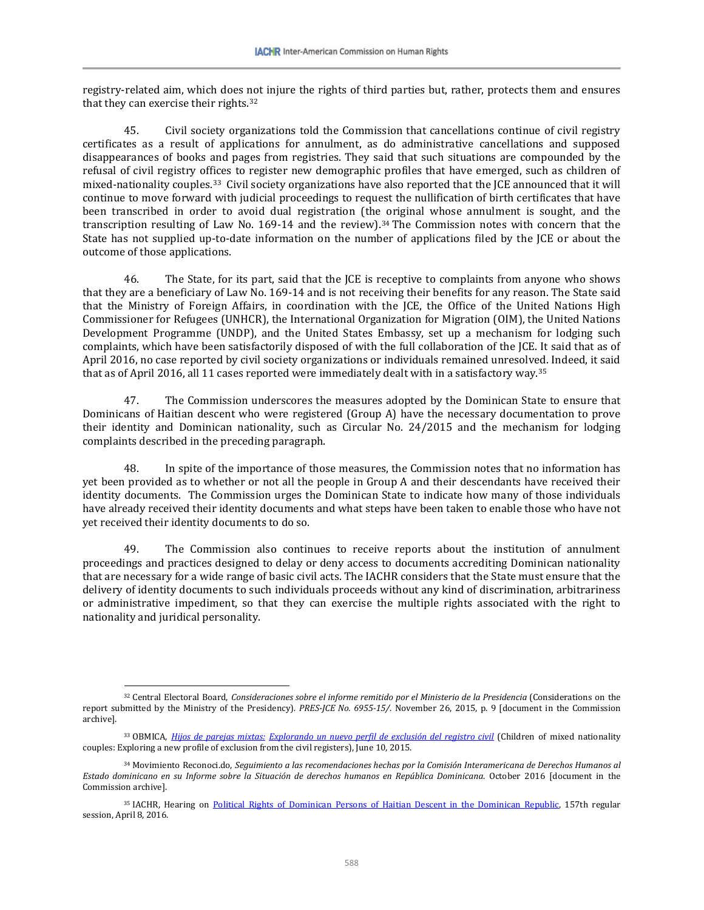registry-related aim, which does [no](#page-11-0)t injure the rights of third parties but, rather, protects them and ensures that they can exercise their rights.32

45. Civil society organizations told the Commission that cancellations continue of civil registry certificates as a result of applications for annulment, as do administrative cancellations and supposed disappearances of books and pages from registries. They said that such situations are compounded by the refusal of civil registry offices to register new demographic profiles that have emerged, such as children of mixed-nationality couples.[33](#page-11-1) Civil society organizations have also reported that the JCE announced that it will continue to move forward with judicial proceedings to request the nullification of birth certificates that have been transcribed in order to avoid dual registration (the original whose annulment is sought, and the transcription resulting of Law No. 169-14 and the review).[34](#page-11-2) The Commission notes with concern that the State has not supplied up-to-date information on the number of applications filed by the JCE or about the outcome of those applications.

46. The State, for its part, said that the JCE is receptive to complaints from anyone who shows that they are a beneficiary of Law No. 169-14 and is not receiving their benefits for any reason. The State said that the Ministry of Foreign Affairs, in coordination with the JCE, the Office of the United Nations High Commissioner for Refugees (UNHCR), the International Organization for Migration (OIM), the United Nations Development Programme (UNDP), and the United States Embassy, set up a mechanism for lodging such complaints, which have been satisfactorily disposed of with the full collaboration of the JCE. It said that as of April 2016, no case reported by civil society organizations or individuals remained unresolved. Indeed, it said that as of April 2016, all 11 cases reported were immediately dealt with in a satisfactory way.[35](#page-11-3)

47. The Commission underscores the measures adopted by the Dominican State to ensure that Dominicans of Haitian descent who were registered (Group A) have the necessary documentation to prove their identity and Dominican nationality, such as Circular No. 24/2015 and the mechanism for lodging complaints described in the preceding paragraph.

48. In spite of the importance of those measures, the Commission notes that no information has yet been provided as to whether or not all the people in Group A and their descendants have received their identity documents. The Commission urges the Dominican State to indicate how many of those individuals have already received their identity documents and what steps have been taken to enable those who have not yet received their identity documents to do so.

49. The Commission also continues to receive reports about the institution of annulment proceedings and practices designed to delay or deny access to documents accrediting Dominican nationality that are necessary for a wide range of basic civil acts. The IACHR considers that the State must ensure that the delivery of identity documents to such individuals proceeds without any kind of discrimination, arbitrariness or administrative impediment, so that they can exercise the multiple rights associated with the right to nationality and juridical personality.

<span id="page-11-0"></span> $\overline{\phantom{a}}$ <sup>32</sup> Central Electoral Board, *Consideraciones sobre el informe remitido por el Ministerio de la Presidencia* (Considerations on the report submitted by the Ministry of the Presidency)*. PRES-JCE No. 6955-15/*. November 26, 2015, p. 9 [document in the Commission archive].

<span id="page-11-1"></span><sup>33</sup> OBMICA, *Hijos de parejas mixtas: [Explorando un nuevo perfil de exclusión del registro civil](http://www.obmica.org/index.php/actualidad/23-derecho-a-nacionalidad/123-hijos-de-parejas-mixtas-explorando-un-nuevo-perfil-de-exclusion-del-registro-civil%209-14)* (Children of mixed nationality couples: Exploring a new profile of exclusion from the civil registers), June 10, 2015.

<span id="page-11-2"></span><sup>34</sup> Movimiento Reconoci.do, *Seguimiento a las recomendaciones hechas por la Comisión Interamericana de Derechos Humanos al Estado dominicano en su Informe sobre la Situación de derechos humanos en República Dominicana*. October 2016 [document in the Commission archive].

<span id="page-11-3"></span><sup>&</sup>lt;sup>35</sup> IACHR, Hearing on [Political Rights of Dominican Persons of Haitian Descent in the Dominican Republic,](https://www.youtube.com/watch?v=gudI8JwplvI) 157th regular session, April 8, 2016.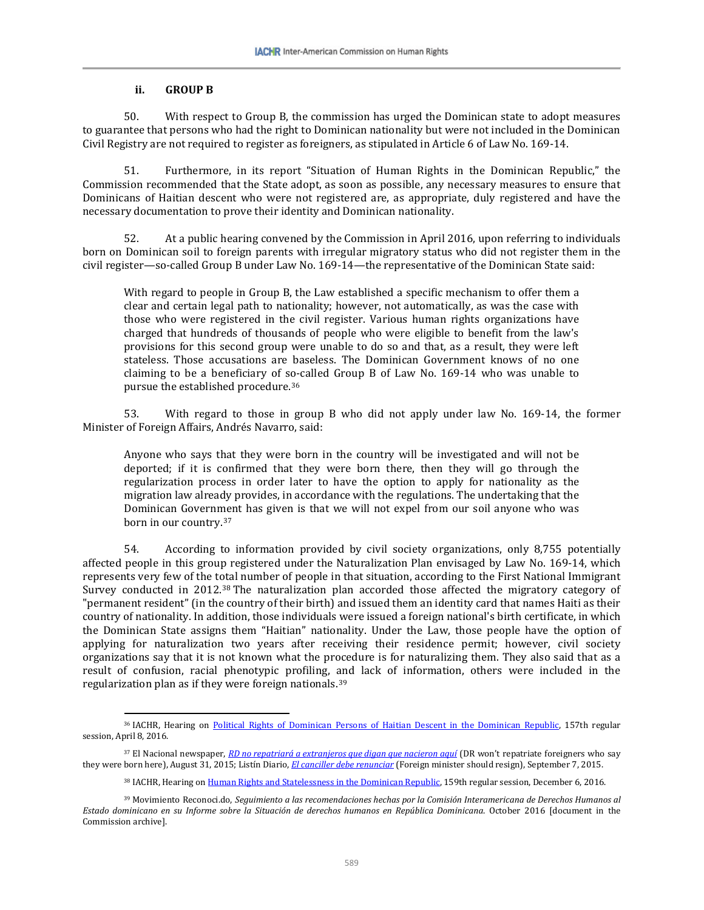#### **ii. GROUP B**

l

50. With respect to Group B, the commission has urged the Dominican state to adopt measures to guarantee that persons who had the right to Dominican nationality but were not included in the Dominican Civil Registry are not required to register as foreigners, as stipulated in Article 6 of Law No. 169-14.

51. Furthermore, in its report "Situation of Human Rights in the Dominican Republic," the Commission recommended that the State adopt, as soon as possible, any necessary measures to ensure that Dominicans of Haitian descent who were not registered are, as appropriate, duly registered and have the necessary documentation to prove their identity and Dominican nationality.

52. At a public hearing convened by the Commission in April 2016, upon referring to individuals born on Dominican soil to foreign parents with irregular migratory status who did not register them in the civil register—so-called Group B under Law No. 169-14—the representative of the Dominican State said:

With regard to people in Group B, the Law established a specific mechanism to offer them a clear and certain legal path to nationality; however, not automatically, as was the case with those who were registered in the civil register. Various human rights organizations have charged that hundreds of thousands of people who were eligible to benefit from the law's provisions for this second group were unable to do so and that, as a result, they were left stateless. Those accusations are baseless. The Dominican Government knows of no one claiming to be a beneficiary of so-called Group B of Law No. 169-14 who was unable to pursue the established procedure.[36](#page-12-0)

53. With regard to those in group B who did not apply under law No. 169-14, the former Minister of Foreign Affairs, Andrés Navarro, said:

Anyone who says that they were born in the country will be investigated and will not be deported; if it is confirmed that they were born there, then they will go through the regularization process in order later to have the option to apply for nationality as the migration law already provides, in accordance with the regulations. The undertaking that the Dominican Government has given is that we will not expel from our soil anyone who was born in our country.[37](#page-12-1)

54. According to information provided by civil society organizations, only 8,755 potentially affected people in this group registered under the Naturalization Plan envisaged by Law No. 169-14, which represents very few of the total number of people in that situation, according to the First National Immigrant Survey conducted in 2012.[38](#page-12-2) The naturalization plan accorded those affected the migratory category of "permanent resident" (in the country of their birth) and issued them an identity card that names Haiti as their country of nationality. In addition, those individuals were issued a foreign national's birth certificate, in which the Dominican State assigns them "Haitian" nationality. Under the Law, those people have the option of applying for naturalization two years after receiving their residence permit; however, civil society organizations say that it is not known what the procedure is for naturalizing them. They also said that as a result of confusion, racial phenotypic profiling, and lack of information, others were included in the regularization plan as if they were foreign nationals.[39](#page-12-3)

<span id="page-12-0"></span><sup>&</sup>lt;sup>36</sup> IACHR, Hearing on [Political Rights of Dominican Persons of Haitian Descent in the Dominican Republic,](https://www.youtube.com/watch?v=gudI8JwplvI) 157th regular session, April 8, 2016.

<span id="page-12-1"></span><sup>37</sup> El Nacional newspaper, *[RD no repatriará a extranjeros que digan que nacieron aquí](http://elnacional.com.do/rd-no-repatriara-extranjeros-digan-que-nacieron-aqui/)* (DR won't repatriate foreigners who say they were born here), August 31, 2015; Listín Diario, *[El canciller debe renunciar](http://www.listindiario.com/puntos-de-vista/2015/09/07/387156/el-canciller-debe-renunciar)* (Foreign minister should resign), September 7, 2015.

<sup>38</sup> IACHR, Hearing o[n Human Rights and Statelessness in the Dominican Republic,](https://www.youtube.com/watch?v=Mdj7bjHuDwo) 159th regular session, December 6, 2016.

<span id="page-12-3"></span><span id="page-12-2"></span><sup>39</sup> Movimiento Reconoci.do, *Seguimiento a las recomendaciones hechas por la Comisión Interamericana de Derechos Humanos al Estado dominicano en su Informe sobre la Situación de derechos humanos en República Dominicana*. October 2016 [document in the Commission archive].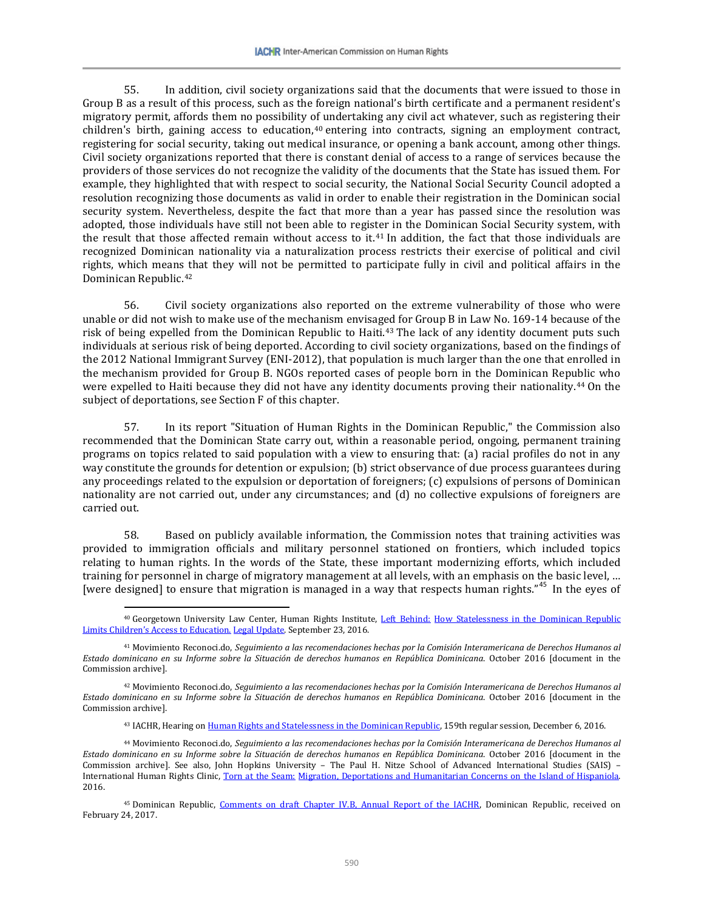55. In addition, civil society organizations said that the documents that were issued to those in Group B as a result of this process, such as the foreign national's birth certificate and a permanent resident's migratory permit, affords them no possibility of undertaking any civil act whatever, such as registering their children's birth, gaining access to education,<sup>[40](#page-13-0)</sup> entering into contracts, signing an employment contract, registering for social security, taking out medical insurance, or opening a bank account, among other things. Civil society organizations reported that there is constant denial of access to a range of services because the providers of those services do not recognize the validity of the documents that the State has issued them. For example, they highlighted that with respect to social security, the National Social Security Council adopted a resolution recognizing those documents as valid in order to enable their registration in the Dominican social security system. Nevertheless, despite the fact that more than a year has passed since the resolution was adopted, those individuals have still not been able to register in the Dominican Social Security system, with the result that those affected remain without access to it.<sup>[41](#page-13-1)</sup> In addition, the fact that those individuals are recognized Dominican nationality via a naturalization process restricts their exercise of political and civil rights, which means that they will not be permitted to participate fully in civil and political affairs in the Dominican Republic.[42](#page-13-2)

56. Civil society organizations also reported on the extreme vulnerability of those who were unable or did not wish to make use of the mechanism envisaged for Group B in Law No. 169-14 because of the risk of being expelled from the Dominican Republic to Haiti.<sup>[43](#page-13-3)</sup> The lack of any identity document puts such individuals at serious risk of being deported. According to civil society organizations, based on the findings of the 2012 National Immigrant Survey (ENI-2012), that population is much larger than the one that enrolled in the mechanism provided for Group B. NGOs reported cases of people born in the Dominican Republic who were expelled to Haiti because they did not have any identity documents proving their nationality.<sup>[44](#page-13-4)</sup> On the subject of deportations, see Section F of this chapter.

57. In its report "Situation of Human Rights in the Dominican Republic," the Commission also recommended that the Dominican State carry out, within a reasonable period, ongoing, permanent training programs on topics related to said population with a view to ensuring that: (a) racial profiles do not in any way constitute the grounds for detention or expulsion; (b) strict observance of due process guarantees during any proceedings related to the expulsion or deportation of foreigners; (c) expulsions of persons of Dominican nationality are not carried out, under any circumstances; and (d) no collective expulsions of foreigners are carried out.

58. Based on publicly available information, the Commission notes that training activities was provided to immigration officials and military personnel stationed on frontiers, which included topics relating to human rights. In the words of the State, these important modernizing efforts, which included training for personnel in charge of migratory management at all levels, with an emphasis on the basic level, … [were designed] to ensure that migration is managed in a way that respects human rights."<sup>[45](#page-13-5)</sup> In the eyes of

 $\overline{\phantom{a}}$ 

43 IACHR, Hearing o[n Human Rights and Statelessness in the Dominican Republic,](https://www.youtube.com/watch?v=Mdj7bjHuDwo) 159th regular session, December 6, 2016.

<span id="page-13-0"></span><sup>&</sup>lt;sup>40</sup> Georgetown University Law Center, Human Rights Institute, Left Behind: How Statelessness in the Dominican Republic [Limits Children's Access to Education.](http://www.law.georgetown.edu/academics/centers-institutes/human-rights-institute/fact-finding/upload/Legal-Update-Left-Behind-Report-09-23-2016.pdf) Legal Update. September 23, 2016.

<span id="page-13-1"></span><sup>41</sup> Movimiento Reconoci.do, *Seguimiento a las recomendaciones hechas por la Comisión Interamericana de Derechos Humanos al Estado dominicano en su Informe sobre la Situación de derechos humanos en República Dominicana*. October 2016 [document in the Commission archive].

<span id="page-13-2"></span><sup>42</sup> Movimiento Reconoci.do, *Seguimiento a las recomendaciones hechas por la Comisión Interamericana de Derechos Humanos al Estado dominicano en su Informe sobre la Situación de derechos humanos en República Dominicana*. October 2016 [document in the Commission archive].

<span id="page-13-4"></span><span id="page-13-3"></span><sup>44</sup> Movimiento Reconoci.do, *Seguimiento a las recomendaciones hechas por la Comisión Interamericana de Derechos Humanos al Estado dominicano en su Informe sobre la Situación de derechos humanos en República Dominicana*. October 2016 [document in the Commission archive]. See also, John Hopkins University – The Paul H. Nitze School of Advanced International Studies (SAIS) – International Human Rights Clinic, Torn at the Seam: Migration, Deportations and Humanitarian Concerns on the Island of Hispaniola. 2016.

<span id="page-13-5"></span><sup>45</sup> Dominican Republic, [Comments on draft Chapter IV.B, Annual Report of the IACHR,](http://www.oas.org/es/cidh/docs/anual/2016/docs/RD-Observaciones2016.pdf) Dominican Republic, received on February 24, 2017.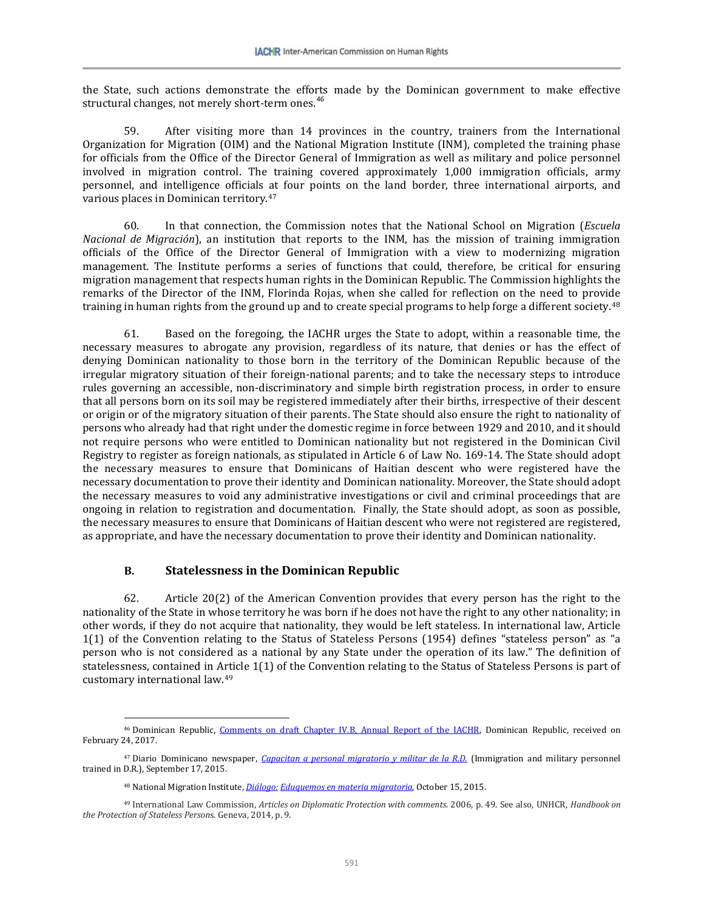the State, such actions demonstrate the efforts made by the Dominican government to make effective structural changes, not merely short-term ones. [46](#page-14-0)

59. After visiting more than 14 provinces in the country, trainers from the International Organization for Migration (OIM) and the National Migration Institute (INM), completed the training phase for officials from the Office of the Director General of Immigration as well as military and police personnel involved in migration control. The training covered approximately 1,000 immigration officials, army personnel, and intelligence officials at four points on the land border, three international airports, and various places in Dominican territory.[47](#page-14-1)

60. In that connection, the Commission notes that the National School on Migration (*Escuela Nacional de Migración*), an institution that reports to the INM, has the mission of training immigration officials of the Office of the Director General of Immigration with a view to modernizing migration management. The Institute performs a series of functions that could, therefore, be critical for ensuring migration management that respects human rights in the Dominican Republic. The Commission highlights the remarks of the Director of the INM, Florinda Rojas, when she called for reflection on the need to provide training in human rights from the ground up and to create special programs to help forge a different society.<sup>[48](#page-14-2)</sup>

61. Based on the foregoing, the IACHR urges the State to adopt, within a reasonable time, the necessary measures to abrogate any provision, regardless of its nature, that denies or has the effect of denying Dominican nationality to those born in the territory of the Dominican Republic because of the irregular migratory situation of their foreign-national parents; and to take the necessary steps to introduce rules governing an accessible, non-discriminatory and simple birth registration process, in order to ensure that all persons born on its soil may be registered immediately after their births, irrespective of their descent or origin or of the migratory situation of their parents. The State should also ensure the right to nationality of persons who already had that right under the domestic regime in force between 1929 and 2010, and it should not require persons who were entitled to Dominican nationality but not registered in the Dominican Civil Registry to register as foreign nationals, as stipulated in Article 6 of Law No. 169-14. The State should adopt the necessary measures to ensure that Dominicans of Haitian descent who were registered have the necessary documentation to prove their identity and Dominican nationality. Moreover, the State should adopt the necessary measures to void any administrative investigations or civil and criminal proceedings that are ongoing in relation to registration and documentation. Finally, the State should adopt, as soon as possible, the necessary measures to ensure that Dominicans of Haitian descent who were not registered are registered, as appropriate, and have the necessary documentation to prove their identity and Dominican nationality.

#### **B. Statelessness in the Dominican Republic**

 $\overline{\phantom{a}}$ 

62. Article 20(2) of the American Convention provides that every person has the right to the nationality of the State in whose territory he was born if he does not have the right to any other nationality; in other words, if they do not acquire that nationality, they would be left stateless. In international law, Article 1(1) of the Convention relating to the Status of Stateless Persons (1954) defines "stateless person" as "a person who is not considered as a national by any State under the operation of its law." The definition of statelessness, contained in Article 1(1) of the Convention relating to the Status of Stateless Persons is part of customary international law.[49](#page-14-3)

<span id="page-14-0"></span><sup>&</sup>lt;sup>46</sup> Dominican Republic, [Comments on draft Chapter IV.B, Annual Report of the IACHR,](http://www.oas.org/es/cidh/docs/anual/2016/docs/RD-Observaciones2016.pdf) Dominican Republic, received on February 24, 2017.

<span id="page-14-1"></span><sup>47</sup> Diario Dominicano newspaper, *[Capacitan a personal migratorio y militar de la R.D.](http://diariodominicano.com/dominicana-hoy/2015/09/17/207263/capacitan-a-personal-migratorio-y-militar-de-la-rd)* (Immigration and military personnel trained in D.R.), September 17, 2015.

<sup>48</sup> National Migration Institute, *Diálogo: [Eduquemos en materia migratoria](http://inm.gob.do/index.php/noticias-internas/item/47-dialogo-eduquemos-en-materia-migratoria)*, October 15, 2015.

<span id="page-14-3"></span><span id="page-14-2"></span><sup>49</sup> International Law Commission, *Articles on Diplomatic Protection with comments*. 2006, p. 49. See also, UNHCR, *Handbook on the Protection of Stateless Person*s. Geneva, 2014, p. 9.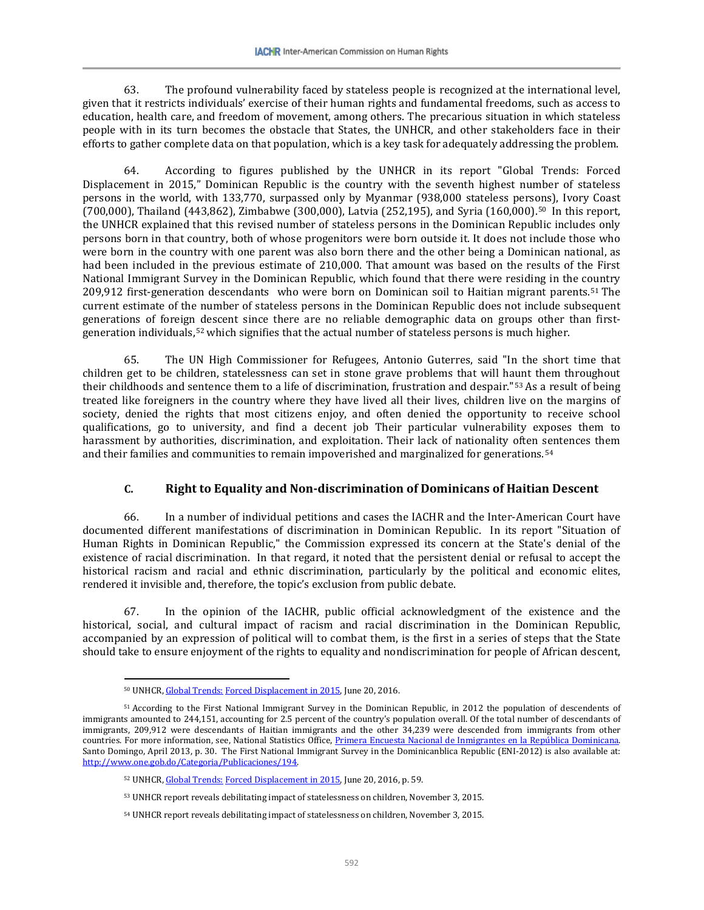63. The profound vulnerability faced by stateless people is recognized at the international level, given that it restricts individuals' exercise of their human rights and fundamental freedoms, such as access to education, health care, and freedom of movement, among others. The precarious situation in which stateless people with in its turn becomes the obstacle that States, the UNHCR, and other stakeholders face in their efforts to gather complete data on that population, which is a key task for adequately addressing the problem.

64. According to figures published by the UNHCR in its report "Global Trends: Forced Displacement in 2015," Dominican Republic is the country with the seventh highest number of stateless persons in the world, with 133,770, surpassed only by Myanmar (938,000 stateless persons), Ivory Coast (700,000), Thailand (443,862), Zimbabwe (300,000), Latvia (252,195), and Syria (160,000).<sup>50</sup> In this report, the UNHCR explained that this revised number of stateless persons in the Dominican Republic includes only persons born in that country, both of whose progenitors were born outside it. It does not include those who were born in the country with one parent was also born there and the other being a Dominican national, as had been included in the previous estimate of 210,000. That amount was based on the results of the First National Immigrant Survey in the Dominican Republic, which found that there were residing in the country 209,912 first-generation descendants who were born on Dominican soil to Haitian migrant parents.[51](#page-15-1) The current estimate of the number of stateless persons in the Dominican Republic does not include subsequent generations of foreign descent since there are no reliable demographic data on groups other than firstgeneration individuals,[52](#page-15-2) which signifies that the actual number of stateless persons is much higher.

65. The UN High Commissioner for Refugees, Antonio Guterres, said "In the short time that children get to be children, statelessness can set in stone grave problems that will haunt them throughout their childhoods and sentence them to a life of discrimination, frustration and despair."<sup>[53](#page-15-3)</sup> As a result of being treated like foreigners in the country where they have lived all their lives, children live on the margins of society, denied the rights that most citizens enjoy, and often denied the opportunity to receive school qualifications, go to university, and find a decent job Their particular vulnerability exposes them to harassment by authorities, discrimination, and exploitation. Their lack of nationality often sentences them and their families and communities to remain impoverished and marginalized for generations.[54](#page-15-4)

# **C. Right to Equality and Non-discrimination of Dominicans of Haitian Descent**

66. In a number of individual petitions and cases the IACHR and the Inter-American Court have documented different manifestations of discrimination in Dominican Republic. In its report "Situation of Human Rights in Dominican Republic," the Commission expressed its concern at the State's denial of the existence of racial discrimination. In that regard, it noted that the persistent denial or refusal to accept the historical racism and racial and ethnic discrimination, particularly by the political and economic elites, rendered it invisible and, therefore, the topic's exclusion from public debate.

67. In the opinion of the IACHR, public official acknowledgment of the existence and the historical, social, and cultural impact of racism and racial discrimination in the Dominican Republic, accompanied by an expression of political will to combat them, is the first in a series of steps that the State should take to ensure enjoyment of the rights to equality and nondiscrimination for people of African descent,

<sup>50</sup> UNHCR, Global Trends: [Forced Displacement in 2015,](http://www.acnur.org/t3/fileadmin/Documentos/Publicaciones/2016/10627.pdf) June 20, 2016.

<span id="page-15-3"></span><span id="page-15-2"></span><span id="page-15-1"></span><span id="page-15-0"></span><sup>51</sup> According to the First National Immigrant Survey in the Dominican Republic, in 2012 the population of descendents of immigrants amounted to 244,151, accounting for 2.5 percent of the country's population overall. Of the total number of descendants of immigrants, 209,912 were descendants of Haitian immigrants and the other 34,239 were descended from immigrants from other countries. For more information, see, National Statistics Office, Primera Encuesta Nacional de Inmigrantes en la República Dominicana. Santo Domingo, April 2013, p. 30. The First National Immigrant Survey in the Dominicanblica Republic (ENI-2012) is also available at: [http://www.one.gob.do/Categoria/Publicaciones/194.](http://www.one.gob.do/Categoria/Publicaciones/194) 

<sup>52</sup> UNHCR, Global Trends: [Forced Displacement in 2015,](http://www.acnur.org/t3/fileadmin/Documentos/Publicaciones/2016/10627.pdf) June 20, 2016, p. 59.

<sup>53</sup> UNHCR report reveals debilitating impact of statelessness on children, November 3, 2015.

<span id="page-15-4"></span><sup>54</sup> UNHCR report reveals debilitating impact of statelessness on children, November 3, 2015.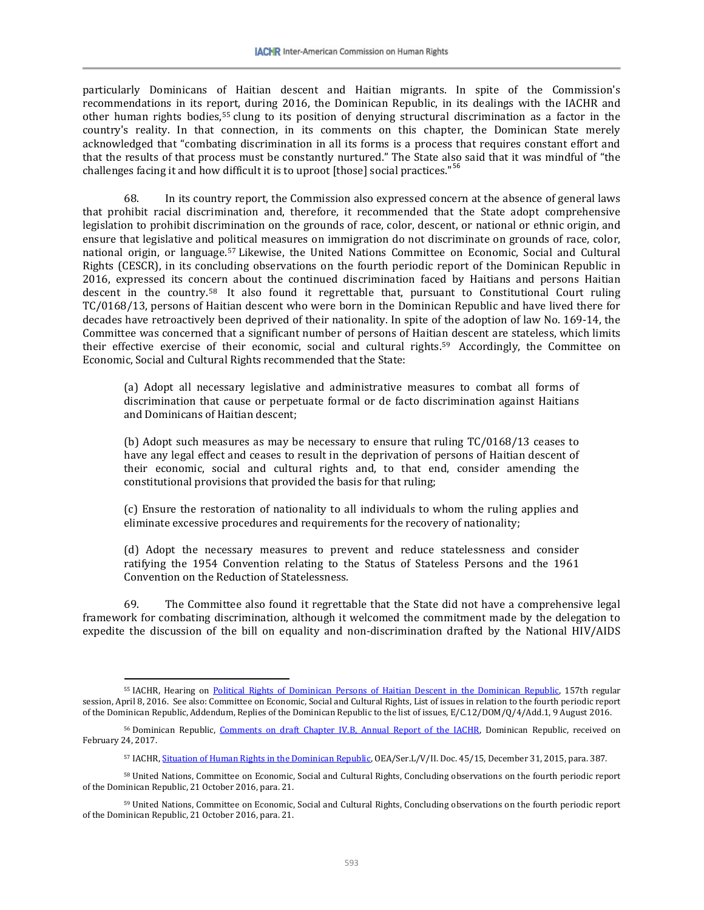particularly Dominicans of Haitian descent and Haitian migrants. In spite of the Commission's recommendations in its report, during 2016, the Dominican Republic, in its dealings with the IACHR and other human rights bodies,[55](#page-16-0) clung to its position of denying structural discrimination as a factor in the country's reality. In that connection, in its comments on this chapter, the Dominican State merely acknowledged that "combating discrimination in all its forms is a process that requires constant effort and that the results of that process must be constantly nurtured." The State also said that it was mindful of "the challenges facing it and how difficult it is to uproot [those] social practices."<sup>[56](#page-16-1)</sup>

68. In its country report, the Commission also expressed concern at the absence of general laws that prohibit racial discrimination and, therefore, it recommended that the State adopt comprehensive legislation to prohibit discrimination on the grounds of race, color, descent, or national or ethnic origin, and ensure that legislative and political measures on immigration do not discriminate on grounds of race, color, national origin, or language.[57](#page-16-2) Likewise, the United Nations Committee on Economic, Social and Cultural Rights (CESCR), in its concluding observations on the fourth periodic report of the Dominican Republic in 2016, expressed its concern about the continued discrimination faced by Haitians and persons Haitian descent in the country.[58](#page-16-3) It also found it regrettable that, pursuant to Constitutional Court ruling TC/0168/13, persons of Haitian descent who were born in the Dominican Republic and have lived there for decades have retroactively been deprived of their nationality. In spite of the adoption of law No. 169-14, the Committee was concerned that a significant number of persons of Haitian descent are stateless, which limits their effective exercise of their economic, social and cultural rights.[59](#page-16-4) Accordingly, the Committee on Economic, Social and Cultural Rights recommended that the State:

(a) Adopt all necessary legislative and administrative measures to combat all forms of discrimination that cause or perpetuate formal or de facto discrimination against Haitians and Dominicans of Haitian descent;

(b) Adopt such measures as may be necessary to ensure that ruling TC/0168/13 ceases to have any legal effect and ceases to result in the deprivation of persons of Haitian descent of their economic, social and cultural rights and, to that end, consider amending the constitutional provisions that provided the basis for that ruling;

(c) Ensure the restoration of nationality to all individuals to whom the ruling applies and eliminate excessive procedures and requirements for the recovery of nationality;

(d) Adopt the necessary measures to prevent and reduce statelessness and consider ratifying the 1954 Convention relating to the Status of Stateless Persons and the 1961 Convention on the Reduction of Statelessness.

69. The Committee also found it regrettable that the State did not have a comprehensive legal framework for combating discrimination, although it welcomed the commitment made by the delegation to expedite the discussion of the bill on equality and non-discrimination drafted by the National HIV/AIDS

<span id="page-16-0"></span><sup>&</sup>lt;sup>55</sup> IACHR, Hearing on [Political Rights of Dominican Persons of Haitian Descent in the Dominican Republic,](https://www.youtube.com/watch?v=gudI8JwplvI) 157th regular session, April 8, 2016. See also: Committee on Economic, Social and Cultural Rights, List of issues in relation to the fourth periodic report of the Dominican Republic, Addendum, Replies of the Dominican Republic to the list of issues, E/C.12/DOM/Q/4/Add.1, 9 August 2016.

<span id="page-16-1"></span><sup>&</sup>lt;sup>56</sup> Dominican Republic, [Comments on draft Chapter IV.B, Annual Report of the IACHR,](http://www.oas.org/es/cidh/docs/anual/2016/docs/RD-Observaciones2016.pdf) Dominican Republic, received on February 24, 2017.

<sup>57</sup> IACHR[, Situation of Human Rights in the Dominican Republic,](http://www.oas.org/es/cidh/informes/pdfs/RepublicaDominicana-2015.pdf) OEA/Ser.L/V/II. Doc. 45/15, December 31, 2015, para. 387.

<span id="page-16-3"></span><span id="page-16-2"></span><sup>58</sup> United Nations, Committee on Economic, Social and Cultural Rights, Concluding observations on the fourth periodic report of the Dominican Republic, 21 October 2016, para. 21.

<span id="page-16-4"></span><sup>59</sup> United Nations, Committee on Economic, Social and Cultural Rights, Concluding observations on the fourth periodic report of the Dominican Republic, 21 October 2016, para. 21.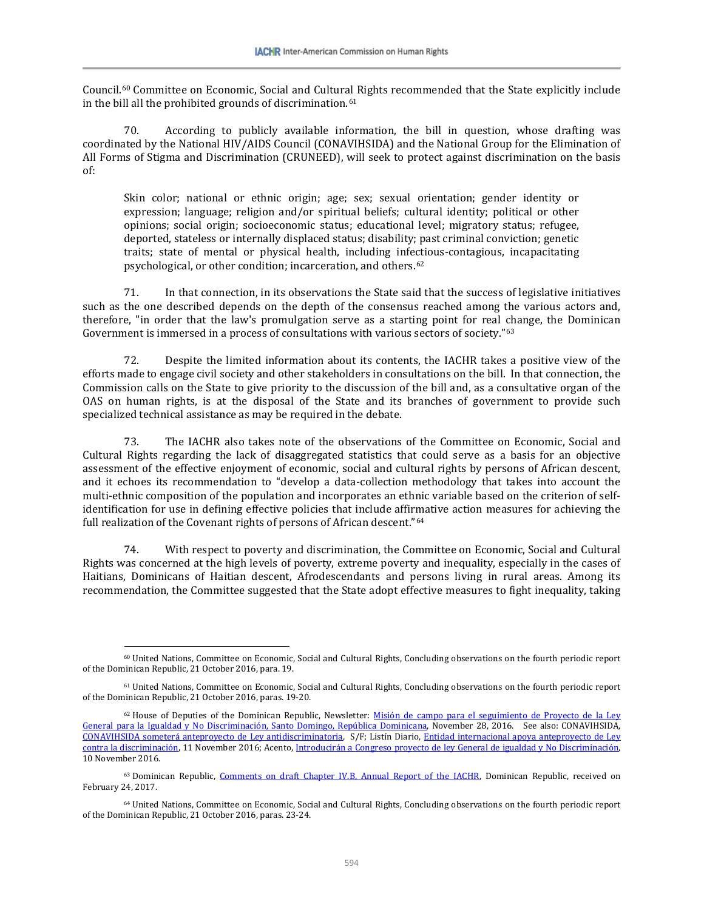Council.[60](#page-17-0) Committee on Economic, Social and Cultural Rights recommended that the State explicitly include in the bill all the prohibited grounds of discrimination.<sup>[61](#page-17-1)</sup>

70. According to publicly available information, the bill in question, whose drafting was coordinated by the National HIV/AIDS Council (CONAVIHSIDA) and the National Group for the Elimination of All Forms of Stigma and Discrimination (CRUNEED), will seek to protect against discrimination on the basis of:

Skin color; national or ethnic origin; age; sex; sexual orientation; gender identity or expression; language; religion and/or spiritual beliefs; cultural identity; political or other opinions; social origin; socioeconomic status; educational level; migratory status; refugee, deported, stateless or internally displaced status; disability; past criminal conviction; genetic traits; state of mental or physical health, including infectious-contagious, incapacitating psychological, or other condition; incarceration, and others.[62](#page-17-2)

71. In that connection, in its observations the State said that the success of legislative initiatives such as the one described depends on the depth of the consensus reached among the various actors and, therefore, "in order that the law's promulgation serve as a starting point for real [ch](#page-17-3)ange, the Dominican Government is immersed in a process of consultations with various sectors of society."63

72. Despite the limited information about its contents, the IACHR takes a positive view of the efforts made to engage civil society and other stakeholders in consultations on the bill. In that connection, the Commission calls on the State to give priority to the discussion of the bill and, as a consultative organ of the OAS on human rights, is at the disposal of the State and its branches of government to provide such specialized technical assistance as may be required in the debate.

73. The IACHR also takes note of the observations of the Committee on Economic, Social and Cultural Rights regarding the lack of disaggregated statistics that could serve as a basis for an objective assessment of the effective enjoyment of economic, social and cultural rights by persons of African descent, and it echoes its recommendation to "develop a data-collection methodology that takes into account the multi-ethnic composition of the population and incorporates an ethnic variable based on the criterion of selfidentification for use in defining effective policies that include affirmative action measures for achieving the full realization of the Covenant rights of persons of African descent."[64](#page-17-4)

74. With respect to poverty and discrimination, the Committee on Economic, Social and Cultural Rights was concerned at the high levels of poverty, extreme poverty and inequality, especially in the cases of Haitians, Dominicans of Haitian descent, Afrodescendants and persons living in rural areas. Among its recommendation, the Committee suggested that the State adopt effective measures to fight inequality, taking

<span id="page-17-0"></span><sup>60</sup> United Nations, Committee on Economic, Social and Cultural Rights, Concluding observations on the fourth periodic report of the Dominican Republic, 21 October 2016, para. 19.

<span id="page-17-1"></span><sup>61</sup> United Nations, Committee on Economic, Social and Cultural Rights, Concluding observations on the fourth periodic report of the Dominican Republic, 21 October 2016, paras. 19-20.

<span id="page-17-2"></span><sup>&</sup>lt;sup>62</sup> House of Deputies of the Dominican Republic, Newsletter: Misión de campo para el seguimiento de Proyecto de la Ley [General para la Igualdad y No Discriminación, Santo Domingo, República Dominicana,](http://www.eldiputado.org/single-post/2016/11/28/Misi%C3%B3n-de-campo-para-el-seguimiento-de-Proyecto-de-la-Ley-General-para-la-Igualdad-y-No-Discriminaci%C3%B3n-Santo-Domingo-Rep%C3%BAblica-Dominicana) November 28, 2016. See also: CONAVIHSIDA, [CONAVIHSIDA someterá anteproyecto de Ley antidiscriminatoria,](http://www.conavihsida.gob.do/index.php/noticias/193-conavihsida-sometera-anteproyecto-de-ley-antidiscriminatoria) S/F; Listín Diario, [Entidad internacional apoya anteproyecto de Ley](http://www.listindiario.com/la-republica/2016/11/11/442665/entidad-internacional-apoya-anteproyecto-de-ley-contra-la-discriminacion)  [contra la discriminación,](http://www.listindiario.com/la-republica/2016/11/11/442665/entidad-internacional-apoya-anteproyecto-de-ley-contra-la-discriminacion) 11 November 2016; Acento[, Introducirán a Congreso proyecto de ley General de igualdad](http://acento.com.do/2016/actualidad/8400219-introduciran-congreso-proyecto-ley-general-igualdad-no-discriminacion/) y No Discriminación, 10 November 2016.

<span id="page-17-3"></span><sup>&</sup>lt;sup>63</sup> Dominican Republic, [Comments on draft Chapter IV.B, Annual Report of the IACHR,](http://www.oas.org/es/cidh/docs/anual/2016/docs/RD-Observaciones2016.pdf) Dominican Republic, received on February 24, 2017.

<span id="page-17-4"></span><sup>64</sup> United Nations, Committee on Economic, Social and Cultural Rights, Concluding observations on the fourth periodic report of the Dominican Republic, 21 October 2016, paras. 23-24.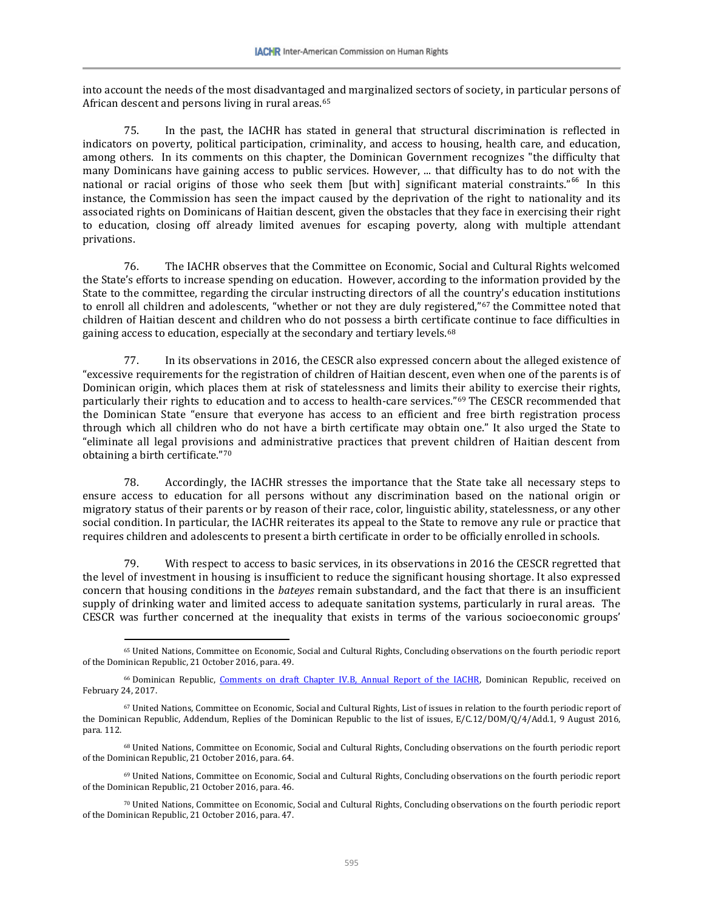into account the needs of the most disadvantaged and marginalized sectors of society, in particular persons of African descent and persons living in rural areas.<sup>[65](#page-18-0)</sup>

75. In the past, the IACHR has stated in general that structural discrimination is reflected in indicators on poverty, political participation, criminality, and access to housing, health care, and education, among others. In its comments on this chapter, the Dominican Government recognizes "the difficulty that many Dominicans have gaining access to public services. However, ... that difficulty has to do not with the national or racial origins of those who seek them [but with] significant material constraints."<sup>[66](#page-18-1)</sup> In this instance, the Commission has seen the impact caused by the deprivation of the right to nationality and its associated rights on Dominicans of Haitian descent, given the obstacles that they face in exercising their right to education, closing off already limited avenues for escaping poverty, along with multiple attendant privations.

76. The IACHR observes that the Committee on Economic, Social and Cultural Rights welcomed the State's efforts to increase spending on education. However, according to the information provided by the State to the committee, regarding the circular instructing directors of all the country's education institutions to enroll all children and adolescents, "whether or not they are duly registered,"[67](#page-18-2) the Committee noted that children of Haitian descent and children who do not possess a birth certificate continue to face difficulties in gaining access to education, especially at the secondary and tertiary levels.<sup>68</sup>

77. In its observations in 2016, the CESCR also expressed concern about the alleged existence of "excessive requirements for the registration of children of Haitian descent, even when one of the parents is of Dominican origin, which places them at risk of statelessness and limits their ability to exercise their rights, particularly their rights to education and to access to health-care services."[69](#page-18-4) The CESCR recommended that the Dominican State "ensure that everyone has access to an efficient and free birth registration process through which all children who do not have a birth certificate may obtain one." It also urged the State to "eliminate all legal provisions and administrative practices that prevent children of Haitian descent from obtaining a birth certificate."[70](#page-18-5)

78. Accordingly, the IACHR stresses the importance that the State take all necessary steps to ensure access to education for all persons without any discrimination based on the national origin or migratory status of their parents or by reason of their race, color, linguistic ability, statelessness, or any other social condition. In particular, the IACHR reiterates its appeal to the State to remove any rule or practice that requires children and adolescents to present a birth certificate in order to be officially enrolled in schools.

79. With respect to access to basic services, in its observations in 2016 the CESCR regretted that the level of investment in housing is insufficient to reduce the significant housing shortage. It also expressed concern that housing conditions in the *bateyes* remain substandard, and the fact that there is an insufficient supply of drinking water and limited access to adequate sanitation systems, particularly in rural areas. The CESCR was further concerned at the inequality that exists in terms of the various socioeconomic groups'

<span id="page-18-0"></span><sup>65</sup> United Nations, Committee on Economic, Social and Cultural Rights, Concluding observations on the fourth periodic report of the Dominican Republic, 21 October 2016, para. 49.

<span id="page-18-1"></span><sup>66</sup> Dominican Republic, [Comments on draft Chapter IV.B, Annual Report of the IACHR,](http://www.oas.org/es/cidh/docs/anual/2016/docs/RD-Observaciones2016.pdf) Dominican Republic, received on February 24, 2017.

<span id="page-18-2"></span><sup>67</sup> United Nations, Committee on Economic, Social and Cultural Rights, List of issues in relation to the fourth periodic report of the Dominican Republic, Addendum, Replies of the Dominican Republic to the list of issues, E/C.12/DOM/Q/4/Add.1, 9 August 2016, para. 112.

<span id="page-18-3"></span><sup>68</sup> United Nations, Committee on Economic, Social and Cultural Rights, Concluding observations on the fourth periodic report of the Dominican Republic, 21 October 2016, para. 64.

<span id="page-18-4"></span><sup>69</sup> United Nations, Committee on Economic, Social and Cultural Rights, Concluding observations on the fourth periodic report of the Dominican Republic, 21 October 2016, para. 46.

<span id="page-18-5"></span><sup>70</sup> United Nations, Committee on Economic, Social and Cultural Rights, Concluding observations on the fourth periodic report of the Dominican Republic, 21 October 2016, para. 47.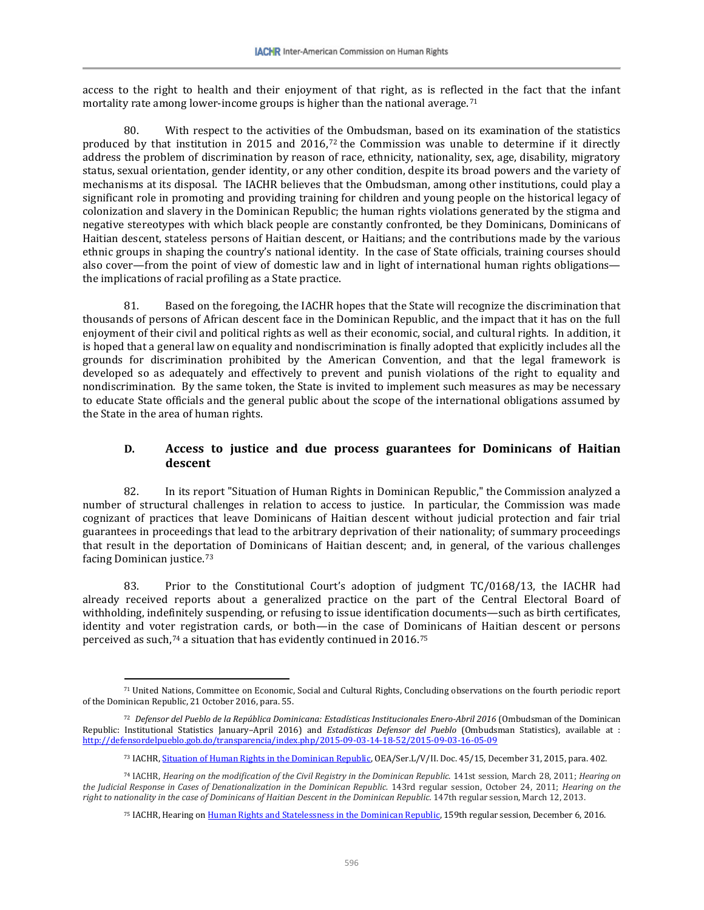access to the right to health and their enjoyment of that right, as is reflected in the fact that the infant mortality rate among lower-income groups is higher than the national average.<sup>[71](#page-19-0)</sup>

80. With respect to the activities of [the](#page-19-1) Ombudsman, based on its examination of the statistics produced by that institution in 2015 and 2016,72 the Commission was unable to determine if it directly address the problem of discrimination by reason of race, ethnicity, nationality, sex, age, disability, migratory status, sexual orientation, gender identity, or any other condition, despite its broad powers and the variety of mechanisms at its disposal. The IACHR believes that the Ombudsman, among other institutions, could play a significant role in promoting and providing training for children and young people on the historical legacy of colonization and slavery in the Dominican Republic; the human rights violations generated by the stigma and negative stereotypes with which black people are constantly confronted, be they Dominicans, Dominicans of Haitian descent, stateless persons of Haitian descent, or Haitians; and the contributions made by the various ethnic groups in shaping the country's national identity. In the case of State officials, training courses should also cover—from the point of view of domestic law and in light of international human rights obligations the implications of racial profiling as a State practice.

81. Based on the foregoing, the IACHR hopes that the State will recognize the discrimination that thousands of persons of African descent face in the Dominican Republic, and the impact that it has on the full enjoyment of their civil and political rights as well as their economic, social, and cultural rights. In addition, it is hoped that a general law on equality and nondiscrimination is finally adopted that explicitly includes all the grounds for discrimination prohibited by the American Convention, and that the legal framework is developed so as adequately and effectively to prevent and punish violations of the right to equality and nondiscrimination. By the same token, the State is invited to implement such measures as may be necessary to educate State officials and the general public about the scope of the international obligations assumed by the State in the area of human rights.

# **D. Access to justice and due process guarantees for Dominicans of Haitian descent**

82. In its report "Situation of Human Rights in Dominican Republic," the Commission analyzed a number of structural challenges in relation to access to justice. In particular, the Commission was made cognizant of practices that leave Dominicans of Haitian descent without judicial protection and fair trial guarantees in proceedings that lead to the arbitrary deprivation of their nationality; of summary proceedings that result in the deportation of Dominicans of Haitian descent; and, in general, of the various challenges facing Dominican justice.[73](#page-19-2)

83. Prior to the Constitutional Court's adoption of judgment TC/0168/13, the IACHR had already received reports about a generalized practice on the part of the Central Electoral Board of withholding, indefinitely suspending, or refusing to issue identification documents—such as birth certificates, identity and voter registration cards, or both—in the case of Dominicans of Haitian descent or persons perceived as such,[74](#page-19-3) a situation that has evidently continued in 2016.[75](#page-19-4)

<span id="page-19-0"></span><sup>71</sup> United Nations, Committee on Economic, Social and Cultural Rights, Concluding observations on the fourth periodic report of the Dominican Republic, 21 October 2016, para. 55.

<span id="page-19-1"></span><sup>72</sup> *Defensor del Pueblo de la República Dominicana: Estadísticas Institucionales Enero-Abril 2016* (Ombudsman of the Dominican Republic: Institutional Statistics January–April 2016) and *Estadísticas Defensor del Pueblo* (Ombudsman Statistics), available at : <http://defensordelpueblo.gob.do/transparencia/index.php/2015-09-03-14-18-52/2015-09-03-16-05-09>

<sup>73</sup> IACHR[, Situation of Human Rights in the Dominican Republic,](http://www.oas.org/es/cidh/informes/pdfs/RepublicaDominicana-2015.pdf) OEA/Ser.L/V/II. Doc. 45/15, December 31, 2015, para. 402.

<span id="page-19-4"></span><span id="page-19-3"></span><span id="page-19-2"></span><sup>74</sup> IACHR, *Hearing on the modification of the Civil Registry in the Dominican Republic*. 141st session, March 28, 2011; *Hearing on the Judicial Response in Cases of Denationalization in the Dominican Republic.* 143rd regular session, October 24, 2011; *Hearing on the right to nationality in the case of Dominicans of Haitian Descent in the Dominican Republic.* 147th regular session, March 12, 2013.

<sup>&</sup>lt;sup>75</sup> IACHR, Hearing o[n Human Rights and Statelessness in the Dominican Republic,](https://www.youtube.com/watch?v=Mdj7bjHuDwo) 159th regular session, December 6, 2016.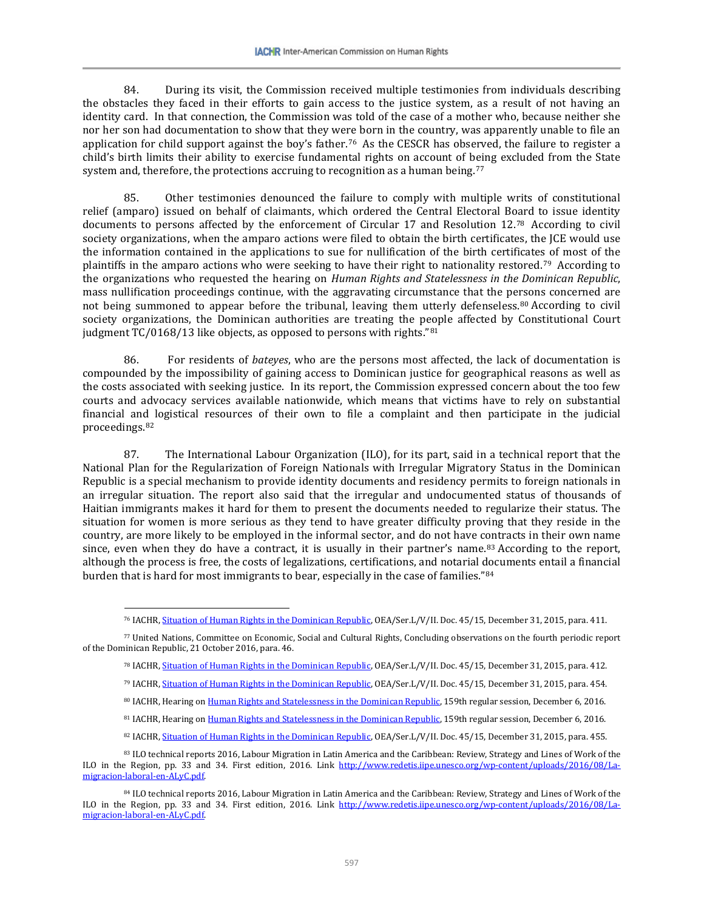84. During its visit, the Commission received multiple testimonies from individuals describing the obstacles they faced in their efforts to gain access to the justice system, as a result of not having an identity card. In that connection, the Commission was told of the case of a mother who, because neither she nor her son had documentation to show that they were born in the country, was apparently unable to file an application for child support against the boy's father.[76](#page-20-0) As the CESCR has observed, the failure to register a child's birth limits their ability to exercise fundamental rights on account of being excluded from the State system and, therefore, the protections accruing to recognition as a human being.<sup>[77](#page-20-1)</sup>

85. Other testimonies denounced the failure to comply with multiple writs of constitutional relief (amparo) issued on behalf of claimants, which ordered the Central Electoral Board to issue identity documents to persons affected by the enforcement of Circular 17 and Resolution 12.[78](#page-20-2) According to civil society organizations, when the amparo actions were filed to obtain the birth certificates, the JCE would use the information contained in the applications to sue for nullification of the birth certificates of most of the plaintiffs in the amparo actions who were seeking to have their right to nationality restored.[79](#page-20-3) According to the organizations who requested the hearing on *Human Rights and Statelessness in the Dominican Republic*, mass nullification proceedings continue, with the aggravating circumstance that the persons concerned are not being summoned to appear before the tribunal, leaving them utterly defenseless.[80](#page-20-4) According to civil society organizations, the Dominican authorities are treating the people affected by Constitutional Court judgment TC/0168/13 like objects, as opposed to persons with rights."[81](#page-20-5)

86. For residents of *bateyes*, who are the persons most affected, the lack of documentation is compounded by the impossibility of gaining access to Dominican justice for geographical reasons as well as the costs associated with seeking justice. In its report, the Commission expressed concern about the too few courts and advocacy services available nationwide, which means that victims have to rely on substantial financial and logistical resources of their own to file a complaint and then participate in the judicial proceedings.[82](#page-20-6)

87. The International Labour Organization (ILO), for its part, said in a technical report that the National Plan for the Regularization of Foreign Nationals with Irregular Migratory Status in the Dominican Republic is a special mechanism to provide identity documents and residency permits to foreign nationals in an irregular situation. The report also said that the irregular and undocumented status of thousands of Haitian immigrants makes it hard for them to present the documents needed to regularize their status. The situation for women is more serious as they tend to have greater difficulty proving that they reside in the country, are more likely to be employed in the informal sector, and do not have contracts in their own name since, even when they do have a contract, it is usually in their partner's name.[83](#page-20-7) According to the report, although the process is free, the costs of legalizations, certifications, and notarial documents entail a financial burden that is hard for most immigrants to bear, especially in the case of families."[84](#page-20-8)

<span id="page-20-3"></span><span id="page-20-2"></span><span id="page-20-1"></span><span id="page-20-0"></span><sup>77</sup> United Nations, Committee on Economic, Social and Cultural Rights, Concluding observations on the fourth periodic report of the Dominican Republic, 21 October 2016, para. 46.

- <sup>78</sup> IACHR[, Situation of Human Rights in the Dominican Republic,](http://www.oas.org/es/cidh/informes/pdfs/RepublicaDominicana-2015.pdf) OEA/Ser.L/V/II. Doc. 45/15, December 31, 2015, para. 412.
- <sup>79</sup> IACHR[, Situation of Human Rights in the Dominican Republic,](http://www.oas.org/es/cidh/informes/pdfs/RepublicaDominicana-2015.pdf) OEA/Ser.L/V/II. Doc. 45/15, December 31, 2015, para. 454.
- 80 IACHR, Hearing o[n Human Rights and Statelessness in the Dominican Republic,](https://www.youtube.com/watch?v=Mdj7bjHuDwo) 159th regular session, December 6, 2016.
- 81 IACHR, Hearing o[n Human Rights and Statelessness in the Dominican Republic,](https://www.youtube.com/watch?v=Mdj7bjHuDwo) 159th regular session, December 6, 2016.
- 82 IACHR[, Situation of Human Rights in the Dominican Republic,](http://www.oas.org/es/cidh/informes/pdfs/RepublicaDominicana-2015.pdf) OEA/Ser.L/V/II. Doc. 45/15, December 31, 2015, para. 455.

<sup>&</sup>lt;sup>76</sup> IACHR, <u>Situation of Human Rights in the Dominican Republic</u>, OEA/Ser.L/V/II. Doc. 45/15, December 31, 2015, para. 411.

<span id="page-20-7"></span><span id="page-20-6"></span><span id="page-20-5"></span><span id="page-20-4"></span><sup>83</sup> ILO technical reports 2016, Labour Migration in Latin America and the Caribbean: Review, Strategy and Lines of Work of the ILO in the Region, pp. 33 and 34. First edition, 2016. Link [http://www.redetis.iipe.unesco.org/wp-content/uploads/2016/08/La](http://www.redetis.iipe.unesco.org/wp-content/uploads/2016/08/La-migracion-laboral-en-ALyC.pdf)[migracion-laboral-en-ALyC.pdf.](http://www.redetis.iipe.unesco.org/wp-content/uploads/2016/08/La-migracion-laboral-en-ALyC.pdf)

<span id="page-20-8"></span><sup>84</sup> ILO technical reports 2016, Labour Migration in Latin America and the Caribbean: Review, Strategy and Lines of Work of the ILO in the Region, pp. 33 and 34. First edition, 2016. Link [http://www.redetis.iipe.unesco.org/wp-content/uploads/2016/08/La](http://www.redetis.iipe.unesco.org/wp-content/uploads/2016/08/La-migracion-laboral-en-ALyC.pdf)[migracion-laboral-en-ALyC.pdf.](http://www.redetis.iipe.unesco.org/wp-content/uploads/2016/08/La-migracion-laboral-en-ALyC.pdf)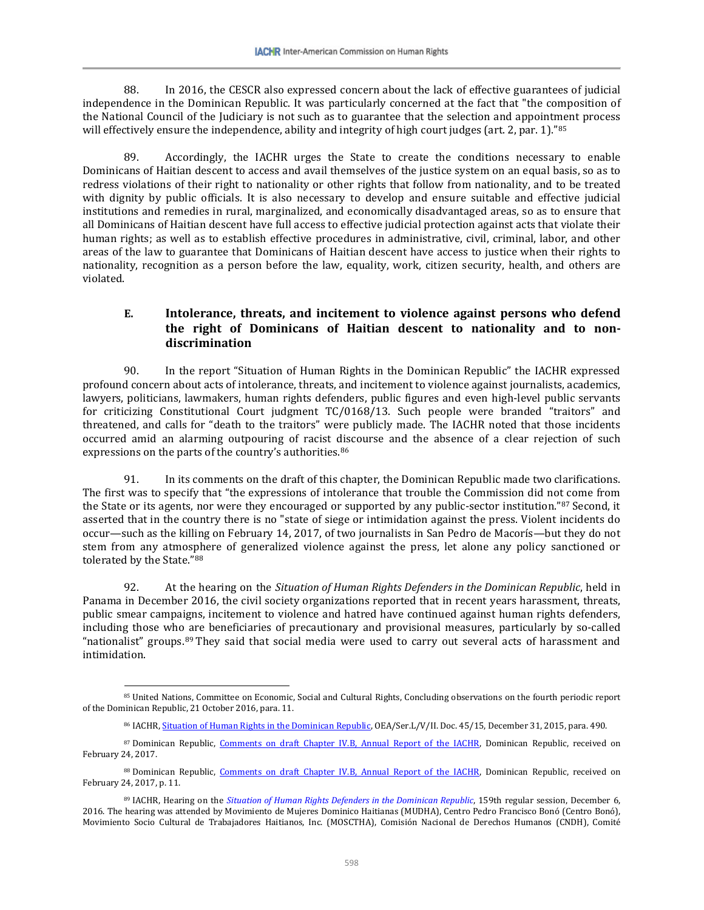88. In 2016, the CESCR also expressed concern about the lack of effective guarantees of judicial independence in the Dominican Republic. It was particularly concerned at the fact that "the composition of the National Council of the Judiciary is not such as to guarantee that the selection and appointment process will effectively ensure the independence, ability and integrity of high court judges (art. 2, par. 1)."[85](#page-21-0)

89. Accordingly, the IACHR urges the State to create the conditions necessary to enable Dominicans of Haitian descent to access and avail themselves of the justice system on an equal basis, so as to redress violations of their right to nationality or other rights that follow from nationality, and to be treated with dignity by public officials. It is also necessary to develop and ensure suitable and effective judicial institutions and remedies in rural, marginalized, and economically disadvantaged areas, so as to ensure that all Dominicans of Haitian descent have full access to effective judicial protection against acts that violate their human rights; as well as to establish effective procedures in administrative, civil, criminal, labor, and other areas of the law to guarantee that Dominicans of Haitian descent have access to justice when their rights to nationality, recognition as a person before the law, equality, work, citizen security, health, and others are violated.

# **E. Intolerance, threats, and incitement to violence against persons who defend the right of Dominicans of Haitian descent to nationality and to nondiscrimination**

90. In the report "Situation of Human Rights in the Dominican Republic" the IACHR expressed profound concern about acts of intolerance, threats, and incitement to violence against journalists, academics, lawyers, politicians, lawmakers, human rights defenders, public figures and even high-level public servants for criticizing Constitutional Court judgment TC/0168/13. Such people were branded "traitors" and threatened, and calls for "death to the traitors" were publicly made. The IACHR noted that those incidents occurred amid an alarming outpouring of racist discourse and the absence of a clear rejection of such expressions on the parts of the country's authorities.<sup>[86](#page-21-1)</sup>

91. In its comments on the draft of this chapter, the Dominican Republic made two clarifications. The first was to specify that "the expressions of intolerance that trouble the Commission did not come from the State or its agents, nor were they encouraged or supported by any public-sector institution."<sup>[87](#page-21-2)</sup> Second, it asserted that in the country there is no "state of siege or intimidation against the press. Violent incidents do occur—such as the killing on February 14, 2017, of two journalists in San Pedro de Macorís—but they do not stem from any atmosphere of generalized violence against the press, let alone any policy sanctioned or tolerated by the State."[88](#page-21-3)

92. At the hearing on the *Situation of Human Rights Defenders in the Dominican Republic*, held in Panama in December 2016, the civil society organizations reported that in recent years harassment, threats, public smear campaigns, incitement to violence and hatred have continued against human rights defenders, including those who are beneficiaries of precautionary and provisional measures, particularly by so-called "nationalist" groups.[89](#page-21-4) They said that social media were used to carry out several acts of harassment and intimidation.

<span id="page-21-0"></span><sup>85</sup> United Nations, Committee on Economic, Social and Cultural Rights, Concluding observations on the fourth periodic report of the Dominican Republic, 21 October 2016, para. 11.

<sup>86</sup> IACHR[, Situation of Human Rights in the Dominican Republic,](http://www.oas.org/es/cidh/informes/pdfs/RepublicaDominicana-2015.pdf) OEA/Ser.L/V/II. Doc. 45/15, December 31, 2015, para. 490.

<span id="page-21-2"></span><span id="page-21-1"></span><sup>87</sup> Dominican Republic, [Comments on draft Chapter IV.B, Annual Report of the IACHR,](http://www.oas.org/es/cidh/docs/anual/2016/docs/RD-Observaciones2016.pdf) Dominican Republic, received on February 24, 2017.

<span id="page-21-3"></span><sup>88</sup> Dominican Republic, Comments on draft Chapter IV.B. Annual Report of the IACHR, Dominican Republic, received on February 24, 2017, p. 11.

<span id="page-21-4"></span><sup>89</sup> IACHR, Hearing on the *[Situation of Human Rights Defenders in the Dominican Republic](https://www.youtube.com/watch?v=9NkNBgDQ1jw)*, 159th regular session, December 6, 2016. The hearing was attended by Movimiento de Mujeres Dominico Haitianas (MUDHA), Centro Pedro Francisco Bonó (Centro Bonó), Movimiento Socio Cultural de Trabajadores Haitianos, Inc. (MOSCTHA), Comisión Nacional de Derechos Humanos (CNDH), Comité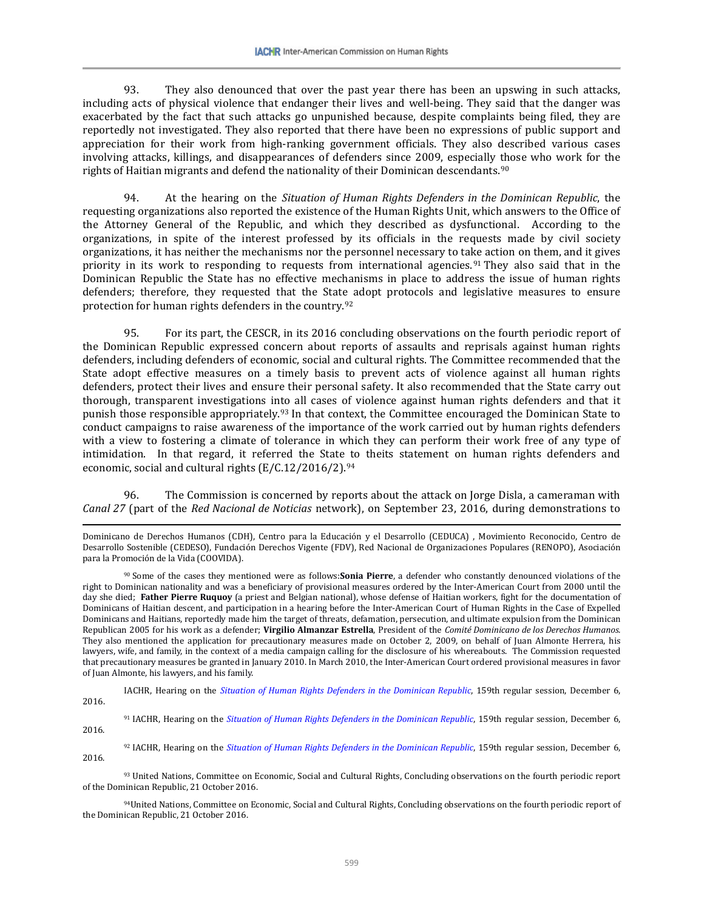93. They also denounced that over the past year there has been an upswing in such attacks, including acts of physical violence that endanger their lives and well-being. They said that the danger was exacerbated by the fact that such attacks go unpunished because, despite complaints being filed, they are reportedly not investigated. They also reported that there have been no expressions of public support and appreciation for their work from high-ranking government officials. They also described various cases involving attacks, killings, and disappearances of defenders since 2009, especially those who work for the rights of Haitian migrants and defend the nationality of their Dominican descendants.<sup>[90](#page-22-0)</sup>

94. At the hearing on the *Situation of Human Rights Defenders in the Dominican Republic*, the requesting organizations also reported the existence of the Human Rights Unit, which answers to the Office of the Attorney General of the Republic, and which they described as dysfunctional. According to the organizations, in spite of the interest professed by its officials in the requests made by civil society organizations, it has neither the mechanisms nor the personnel necessary to take action on them, and it gives priority in its work to responding to requests from international agencies.[91](#page-22-1) They also said that in the Dominican Republic the State has no effective mechanisms in place to address the issue of human rights defenders; therefore, they requested that the State adopt protocols and legislative measures to ensure protection for human rights defenders in the country.[92](#page-22-2) 

95. For its part, the CESCR, in its 2016 concluding observations on the fourth periodic report of the Dominican Republic expressed concern about reports of assaults and reprisals against human rights defenders, including defenders of economic, social and cultural rights. The Committee recommended that the State adopt effective measures on a timely basis to prevent acts of violence against all human rights defenders, protect their lives and ensure their personal safety. It also recommended that the State carry out thorough, transparent investigations into all cases of violence against human rights defenders and that it punish those responsible appropriately.[93](#page-22-3) In that context, the Committee encouraged the Dominican State to conduct campaigns to raise awareness of the importance of the work carried out by human rights defenders with a view to fostering a climate of tolerance in which they can perform their work free of any type of intimidation. In that regard, it referred the State to theits statement on human rights defenders and economic, social and cultural rights (E/C.12/2016/2).[94](#page-22-4)

96. The Commission is concerned by reports about the attack on Jorge Disla, a cameraman with *Canal 27* (part of the *Red Nacional de Noticias* network), on September 23, 2016, during demonstrations to

l

IACHR, Hearing on the *[Situation of Human Rights Defenders in the Dominican Republic](https://www.youtube.com/watch?v=9NkNBgDQ1jw)*, 159th regular session, December 6, 2016.

<span id="page-22-1"></span><sup>91</sup> IACHR, Hearing on the *[Situation of Human Rights Defenders in the Dominican Republic](https://www.youtube.com/watch?v=9NkNBgDQ1jw)*, 159th regular session, December 6, 2016.

<span id="page-22-2"></span><sup>92</sup> IACHR, Hearing on the *[Situation of Human Rights Defenders in the Dominican Republic](https://www.youtube.com/watch?v=9NkNBgDQ1jw)*, 159th regular session, December 6, 2016.

<span id="page-22-3"></span><sup>93</sup> United Nations, Committee on Economic, Social and Cultural Rights, Concluding observations on the fourth periodic report of the Dominican Republic, 21 October 2016.

<span id="page-22-4"></span>94United Nations, Committee on Economic, Social and Cultural Rights, Concluding observations on the fourth periodic report of the Dominican Republic, 21 October 2016.

Dominicano de Derechos Humanos (CDH), Centro para la Educación y el Desarrollo (CEDUCA) , Movimiento Reconocido, Centro de Desarrollo Sostenible (CEDESO), Fundación Derechos Vigente (FDV), Red Nacional de Organizaciones Populares (RENOPO), Asociación para la Promoción de la Vida (COOVIDA).

<span id="page-22-0"></span><sup>90</sup> Some of the cases they mentioned were as follows:**Sonia Pierre**, a defender who constantly denounced violations of the right to Dominican nationality and was a beneficiary of provisional measures ordered by the Inter-American Court from 2000 until the day she died; **Father Pierre Ruquoy** (a priest and Belgian national), whose defense of Haitian workers, fight for the documentation of Dominicans of Haitian descent, and participation in a hearing before the Inter-American Court of Human Rights in the Case of Expelled Dominicans and Haitians, reportedly made him the target of threats, defamation, persecution, and ultimate expulsion from the Dominican Republican 2005 for his work as a defender; **Virgilio Almanzar Estrella**, President of the *Comité Dominicano de los Derechos Humanos*. They also mentioned the application for precautionary measures made on October 2, 2009, on behalf of Juan Almonte Herrera, his lawyers, wife, and family, in the context of a media campaign calling for the disclosure of his whereabouts. The Commission requested that precautionary measures be granted in January 2010. In March 2010, the Inter-American Court ordered provisional measures in favor of Juan Almonte, his lawyers, and his family.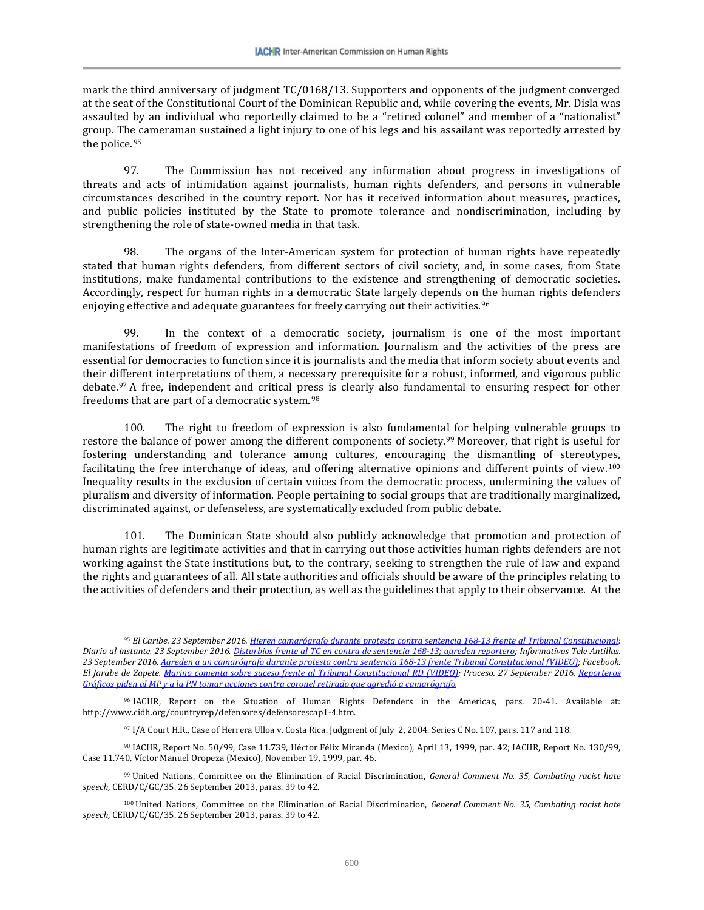mark the third anniversary of judgment TC/0168/13. Supporters and opponents of the judgment converged at the seat of the Constitutional Court of the Dominican Republic and, while covering the events, Mr. Disla was assaulted by an individual who reportedly claimed to be a "retired colonel" and member of a "nationalist" group. The cameraman sustained a light injury to one of his legs and his assailant was reportedly arrested by the police.[95](#page-23-0)

97. The Commission has not received any information about progress in investigations of threats and acts of intimidation against journalists, human rights defenders, and persons in vulnerable circumstances described in the country report. Nor has it received information about measures, practices, and public policies instituted by the State to promote tolerance and nondiscrimination, including by strengthening the role of state-owned media in that task.

98. The organs of the Inter-American system for protection of human rights have repeatedly stated that human rights defenders, from different sectors of civil society, and, in some cases, from State institutions, make fundamental contributions to the existence and strengthening of democratic societies. Accordingly, respect for human rights in a democratic State largely depends on the human rights defenders enjoying effective and adequate guarantees for freely carrying out their activities.<sup>[96](#page-23-1)</sup>

99. In the context of a democratic society, journalism is one of the most important manifestations of freedom of expression and information. Journalism and the activities of the press are essential for democracies to function since it is journalists and the media that inform society about events and their different interpretations of them, a necessary prerequisite for a robust, informed, and vigorous public debate.[97](#page-23-2) A free, independent and critical press is clearly also fundamental to ensuring respect for other freedoms that are part of a democratic system.[98](#page-23-3)

100. The right to freedom of expression is also fundamental for helping vulnerable groups to restore the balance of power among the different components of society.[99](#page-23-4) Moreover, that right is useful for fostering understanding and tolerance among cultures, encouraging the dismantling of stereotypes, facilitating the free interchange of ideas, and offering alternative opinions and different points of view.[100](#page-23-5) Inequality results in the exclusion of certain voices from the democratic process, undermining the values of pluralism and diversity of information. People pertaining to social groups that are traditionally marginalized, discriminated against, or defenseless, are systematically excluded from public debate.

101. The Dominican State should also publicly acknowledge that promotion and protection of human rights are legitimate activities and that in carrying out those activities human rights defenders are not working against the State institutions but, to the contrary, seeking to strengthen the rule of law and expand the rights and guarantees of all. All state authorities and officials should be aware of the principles relating to the activities of defenders and their protection, as well as the guidelines that apply to their observance. At the

<span id="page-23-0"></span><sup>95</sup> *El Caribe. 23 September 2016[. Hieren camarógrafo durante protesta contra sentencia 168-13 frente al Tribunal Constitucional;](http://www.elcaribe.com.do/2016/09/23/hieren-camarografo-durante-protesta-contra-ley-16813) Diario al instante. 23 September 2016[. Disturbios frente al TC en contra de sentencia 168-13; agreden reportero;](http://diarioalinstante.com/disturbios-frente-al-tc-sentencia-168-13-agreden-reportero/2016/09/23/) Informativos Tele Antillas. 23 September 2016[. Agreden a un camarógrafo durante protesta contra sentencia 168-13 frente Tribunal Constitucional \(VIDEO\);](http://infoteleantillas.com.do/agrede-a-un-camarografo-durante-protesta-contra-sentencia-168-13-frente-tribunal-constitucional/) Facebook. El Jarabe de Zapete[. Marino comenta sobre suceso frente al Tribunal Constitucional RD \(VIDEO\);](https://www.facebook.com/ElJarabeDeZapete/videos/vb.1682803811938856/1818365691716000/?type=3&theater) Proceso. 27 September 2016. [Reporteros](http://www.proceso.com.do/noticias/2016/09/27/reporteros-gr%C3%A1ficos-piden-al-mp-a-la-pn-tomar-acciones-contra-coronel-retidao-que-agredi%C3%B3-a-camarografo/)  [Gráficos piden al MP y a la PN tomar acciones contra coronel retirado que agredió a camarógrafo.](http://www.proceso.com.do/noticias/2016/09/27/reporteros-gr%C3%A1ficos-piden-al-mp-a-la-pn-tomar-acciones-contra-coronel-retidao-que-agredi%C3%B3-a-camarografo/)*

<span id="page-23-1"></span><sup>96</sup> IACHR, Report on the Situation of Human Rights Defenders in the Americas, pars. 20-41. Available at: http://www.cidh.org/countryrep/defensores/defensorescap1-4.htm.

<sup>97</sup> I/A Court H.R., Case of Herrera Ulloa v. Costa Rica. Judgment of July 2, 2004. Series C No. 107, pars. 117 and 118.

<span id="page-23-3"></span><span id="page-23-2"></span><sup>98</sup> IACHR, Report No. 50/99, Case 11.739, Héctor Félix Miranda (Mexico), April 13, 1999, par. 42; IACHR, Report No. 130/99, Case 11.740, Víctor Manuel Oropeza (Mexico), November 19, 1999, par. 46.

<span id="page-23-4"></span><sup>99</sup> United Nations, Committee on the Elimination of Racial Discrimination, *General Comment No. 35, Combating racist hate speech,* CERD/C/GC/35. 26 September 2013, paras. 39 to 42.

<span id="page-23-5"></span><sup>100</sup> United Nations, Committee on the Elimination of Racial Discrimination, *General Comment No. 35, Combating racist hate speech,* CERD/C/GC/35. 26 September 2013, paras. 39 to 42.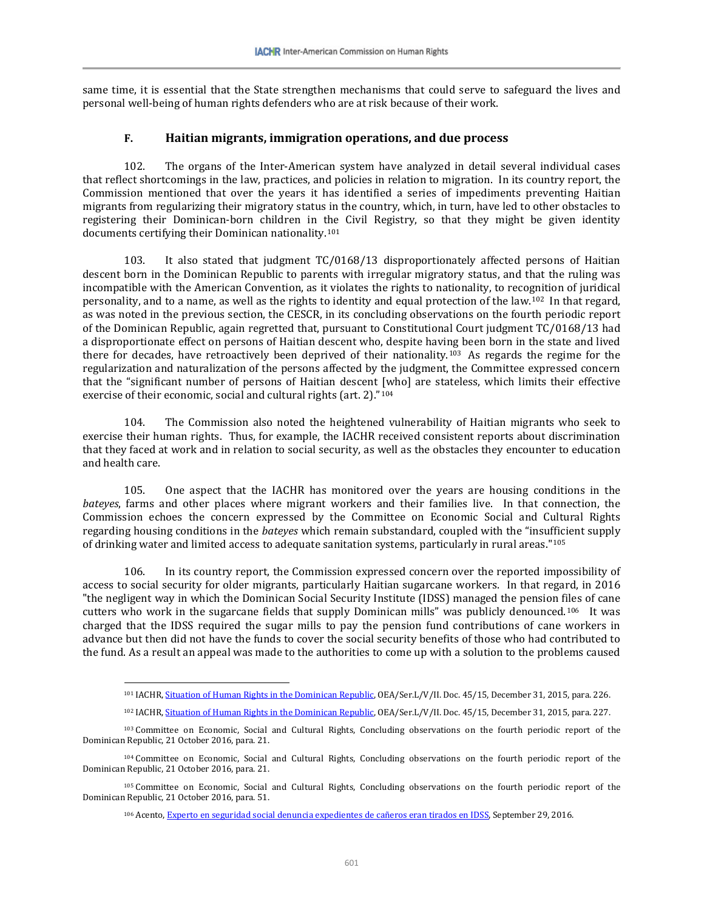same time, it is essential that the State strengthen mechanisms that could serve to safeguard the lives and personal well-being of human rights defenders who are at risk because of their work.

#### **F. Haitian migrants, immigration operations, and due process**

102. The organs of the Inter-American system have analyzed in detail several individual cases that reflect shortcomings in the law, practices, and policies in relation to migration. In its country report, the Commission mentioned that over the years it has identified a series of impediments preventing Haitian migrants from regularizing their migratory status in the country, which, in turn, have led to other obstacles to registering their Dominican-born children in the Civil Registry, so that they might be given identity documents certifying their Dominican nationality.[101](#page-24-0)

103. It also stated that judgment TC/0168/13 disproportionately affected persons of Haitian descent born in the Dominican Republic to parents with irregular migratory status, and that the ruling was incompatible with the American Convention, as it violates the rights to nationality, to recognition of juridical personality, and to a name, as well as the rights to identity and equal protection of the law.[102](#page-24-1) In that regard, as was noted in the previous section, the CESCR, in its concluding observations on the fourth periodic report of the Dominican Republic, again regretted that, pursuant to Constitutional Court judgment TC/0168/13 had a disproportionate effect on persons of Haitian descent who, despite having been born in the state and lived there for decades, have retroactively been deprived of their nationality.<sup>103</sup> As regards the regime for the regularization and naturalization of the persons affected by the judgment, the Committee expressed concern that the "significant number of persons of Haitian descent [who] are stateless, which limits their effective exercise of their economic, social and cultural rights (art. 2)."[104](#page-24-3)

104. The Commission also noted the heightened vulnerability of Haitian migrants who seek to exercise their human rights. Thus, for example, the IACHR received consistent reports about discrimination that they faced at work and in relation to social security, as well as the obstacles they encounter to education and health care.

105. One aspect that the IACHR has monitored over the years are housing conditions in the *bateyes*, farms and other places where migrant workers and their families live. In that connection, the Commission echoes the concern expressed by the Committee on Economic Social and Cultural Rights regarding housing conditions in the *bateyes* which remain substandard, coupled with the "insufficient supply of drinking water and limited access to adequate sanitation systems, particularly in rural areas."[105](#page-24-4)

106. In its country report, the Commission expressed concern over the reported impossibility of access to social security for older migrants, particularly Haitian sugarcane workers. In that regard, in 2016 "the negligent way in which the Dominican Social Security Institute (IDSS) managed the pension files of cane cutters who work in the sugarcane fields that supply Dominican mills" was publicly denounced.[106](#page-24-5) It was charged that the IDSS required the sugar mills to pay the pension fund contributions of cane workers in advance but then did not have the funds to cover the social security benefits of those who had contributed to the fund. As a result an appeal was made to the authorities to come up with a solution to the problems caused

<sup>&</sup>lt;sup>101</sup> IACHR[, Situation of Human Rights in the Dominican Republic,](http://www.oas.org/es/cidh/informes/pdfs/RepublicaDominicana-2015.pdf) OEA/Ser.L/V/II. Doc. 45/15, December 31, 2015, para. 226.

<sup>&</sup>lt;sup>102</sup> IACHR[, Situation of Human Rights in the Dominican](http://www.oas.org/es/cidh/informes/pdfs/RepublicaDominicana-2015.pdf) Republic, OEA/Ser.L/V/II. Doc. 45/15, December 31, 2015, para. 227.

<span id="page-24-2"></span><span id="page-24-1"></span><span id="page-24-0"></span><sup>103</sup> Committee on Economic, Social and Cultural Rights, Concluding observations on the fourth periodic report of the Dominican Republic, 21 October 2016, para. 21.

<span id="page-24-3"></span><sup>104</sup> Committee on Economic, Social and Cultural Rights, Concluding observations on the fourth periodic report of the Dominican Republic, 21 October 2016, para. 21.

<span id="page-24-5"></span><span id="page-24-4"></span><sup>105</sup> Committee on Economic, Social and Cultural Rights, Concluding observations on the fourth periodic report of the Dominican Republic, 21 October 2016, para. 51.

<sup>106</sup> Acento[, Experto en seguridad social denuncia expedientes de cañeros eran tirados en IDSS,](http://acento.com.do/2016/actualidad/8387436-experto-seguridad-social-denuncia-expedientes-caneros-tirados-idss/) September 29, 2016.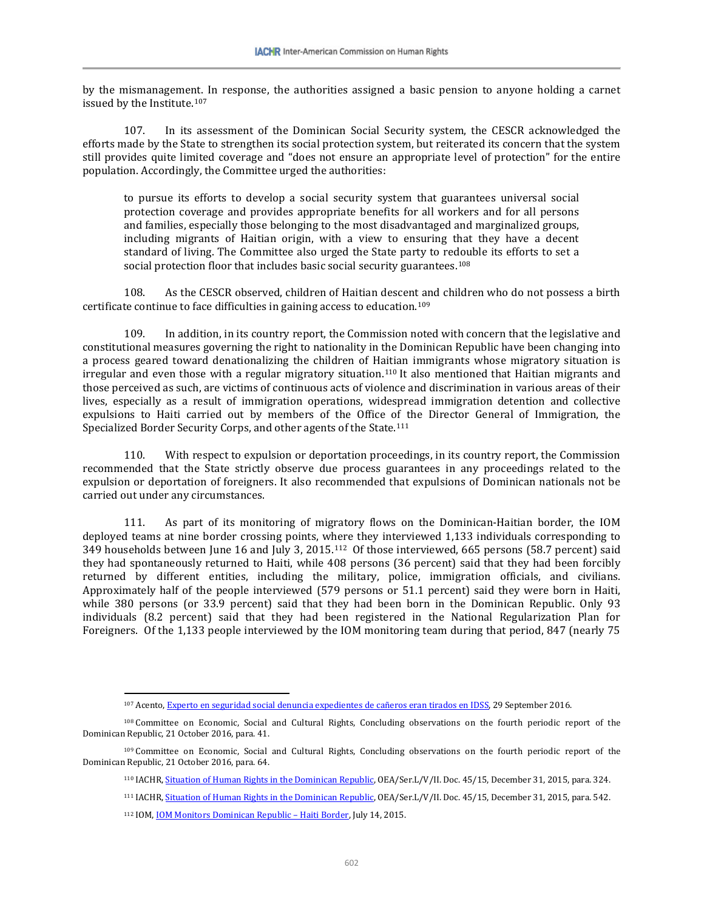by the mismanagement. In response, the authorities assigned a basic pension to anyone holding a carnet issued by the Institute.[107](#page-25-0)

107. In its assessment of the Dominican Social Security system, the CESCR acknowledged the efforts made by the State to strengthen its social protection system, but reiterated its concern that the system still provides quite limited coverage and "does not ensure an appropriate level of protection" for the entire population. Accordingly, the Committee urged the authorities:

to pursue its efforts to develop a social security system that guarantees universal social protection coverage and provides appropriate benefits for all workers and for all persons and families, especially those belonging to the most disadvantaged and marginalized groups, including migrants of Haitian origin, with a view to ensuring that they have a decent standard of living. The Committee also urged the State party to redouble its efforts to set a social protection floor that includes basic social security guarantees.<sup>[108](#page-25-1)</sup>

108. As the CESCR observed, children of Haitian descent and children who do not possess a birth certificate continue to face difficulties in gaining access to education.[109](#page-25-2)

109. In addition, in its country report, the Commission noted with concern that the legislative and constitutional measures governing the right to nationality in the Dominican Republic have been changing into a process geared toward denationalizing the children of Haitian immigrants whose migratory situation is irregular and even those with a regular migratory situation.<sup>[110](#page-25-3)</sup> It also mentioned that Haitian migrants and those perceived as such, are victims of continuous acts of violence and discrimination in various areas of their lives, especially as a result of immigration operations, widespread immigration detention and collective expulsions to Haiti carried out by members of the Office of the Director General of Immigration, the Specialized Border Security Corps, and other agents of the State.[111](#page-25-4)

110. With respect to expulsion or deportation proceedings, in its country report, the Commission recommended that the State strictly observe due process guarantees in any proceedings related to the expulsion or deportation of foreigners. It also recommended that expulsions of Dominican nationals not be carried out under any circumstances.

111. As part of its monitoring of migratory flows on the Dominican-Haitian border, the IOM deployed teams at nine border crossing points, where they interviewed 1,133 individuals corresponding to 349 households between June 16 and July 3, 2015.[112](#page-25-5) Of those interviewed, 665 persons (58.7 percent) said they had spontaneously returned to Haiti, while 408 persons (36 percent) said that they had been forcibly returned by different entities, including the military, police, immigration officials, and civilians. Approximately half of the people interviewed (579 persons or 51.1 percent) said they were born in Haiti, while 380 persons (or 33.9 percent) said that they had been born in the Dominican Republic. Only 93 individuals (8.2 percent) said that they had been registered in the National Regularization Plan for Foreigners. Of the 1,133 people interviewed by the IOM monitoring team during that period, 847 (nearly 75

<sup>107</sup> Acento[, Experto en seguridad social denuncia expedientes de cañeros eran tirados en IDSS,](http://acento.com.do/2016/actualidad/8387436-experto-seguridad-social-denuncia-expedientes-caneros-tirados-idss/) 29 September 2016.

<span id="page-25-1"></span><span id="page-25-0"></span><sup>108</sup> Committee on Economic, Social and Cultural Rights, Concluding observations on the fourth periodic report of the Dominican Republic, 21 October 2016, para. 41.

<span id="page-25-5"></span><span id="page-25-4"></span><span id="page-25-3"></span><span id="page-25-2"></span><sup>109</sup> Committee on Economic, Social and Cultural Rights, Concluding observations on the fourth periodic report of the Dominican Republic, 21 October 2016, para. 64.

<sup>110</sup> IACHR[, Situation of Human Rights in the Dominican Republic,](http://www.oas.org/es/cidh/informes/pdfs/RepublicaDominicana-2015.pdf) OEA/Ser.L/V/II. Doc. 45/15, December 31, 2015, para. 324.

<sup>&</sup>lt;sup>111</sup> IACHR, **Situation of Human Rights in the Dominican Republic**, OEA/Ser.L/V/II. Doc. 45/15, December 31, 2015, para. 542.

<sup>112</sup> IOM, **IOM Monitors Dominican Republic - Haiti Border**, July 14, 2015.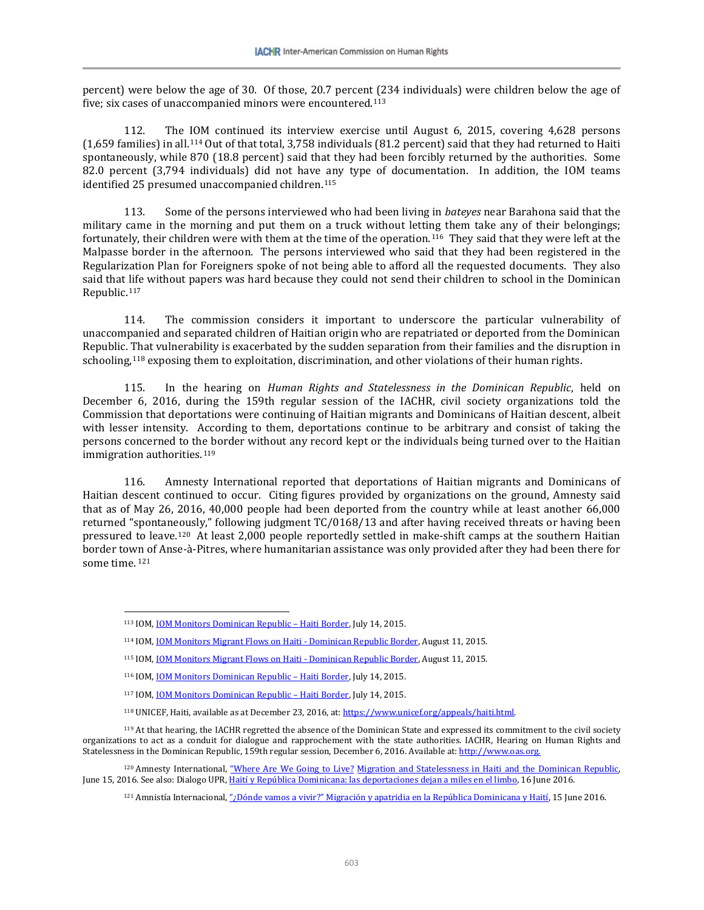percent) were below the age of 30. Of those, 20.7 percent (234 individuals) were children below the age of five; six cases of unaccompanied minors were encountered.[113](#page-26-0)

112. The IOM continued its interview exercise until August 6, 2015, covering 4,628 persons (1,659 families) in all.[114](#page-26-1) Out of that total, 3,758 individuals (81.2 percent) said that they had returned to Haiti spontaneously, while 870 (18.8 percent) said that they had been forcibly returned by the authorities. Some 82.0 percent (3,794 individuals) did not have any type of documentation. In addition, the IOM teams identified 25 presumed unaccompanied children.<sup>115</sup>

113. Some of the persons interviewed who had been living in *bateyes* near Barahona said that the military came in the morning and put them on a truck without letting them take any of their belongings; fortunately, their children were with them at the time of the operation.<sup>[116](#page-26-3)</sup> They said that they were left at the Malpasse border in the afternoon. The persons interviewed who said that they had been registered in the Regularization Plan for Foreigners spoke of not being able to afford all the requested documents. They also said that life without papers was hard because they could not send their children to school in the Dominican Republic.[117](#page-26-4) 

114. The commission considers it important to underscore the particular vulnerability of unaccompanied and separated children of Haitian origin who are repatriated or deported from the Dominican Republic. That vulnerability is exacerbated by the sudden separation from their families and the disruption in schooling,<sup>[118](#page-26-5)</sup> exposing them to exploitation, discrimination, and other violations of their human rights.

115. In the hearing on *Human Rights and Statelessness in the Dominican Republic*, held on December 6, 2016, during the 159th regular session of the IACHR, civil society organizations told the Commission that deportations were continuing of Haitian migrants and Dominicans of Haitian descent, albeit with lesser intensity. According to them, deportations continue to be arbitrary and consist of taking the persons concerned to the border without any record kept or the individuals being turned over to the Haitian immigration authorities.<sup>119</sup>

116. Amnesty International reported that deportations of Haitian migrants and Dominicans of Haitian descent continued to occur. Citing figures provided by organizations on the ground, Amnesty said that as of May 26, 2016, 40,000 people had been deported from the country while at least another 66,000 returned "spontaneously," following judgment TC/0168/13 and after having received threats or having been pressured to leave.[120](#page-26-7) At least 2,000 people reportedly settled in make-shift camps at the southern Haitian border town of Anse-à-Pitres, where humanitarian assistance was only provided after they had been there for some time. [121](#page-26-8)

<span id="page-26-6"></span><span id="page-26-5"></span><span id="page-26-4"></span><span id="page-26-3"></span><span id="page-26-2"></span><span id="page-26-1"></span><sup>119</sup> At that hearing, the IACHR regretted the absence of the Dominican State and expressed its commitment to the civil society organizations to act as a conduit for dialogue and rapprochement with the state authorities. IACHR, Hearing on Human Rights and Statelessness in the Dominican Republic, 159th regular session, December 6, 2016. Available at[: http://www.oas.org.](http://www.oas.org./)

<span id="page-26-8"></span><span id="page-26-7"></span><sup>120</sup> Amnesty International, "Where Are We Going to Live? Migration and Statelessness in Haiti and the Dominican Republic, June 15, 2016. See also: Dialogo UPR[, Haití y República Dominicana: las deportaciones dejan a miles en el limbo,](http://dialogoupr.com/haiti-y-republica-dominicana-las-deportaciones-dejan-miles-en-el-limbo/) 16 June 2016.

<span id="page-26-0"></span> $\overline{\phantom{a}}$ <sup>113</sup> IOM[, IOM Monitors Dominican Republic –](http://www.iom.int/news/iom-monitors-dominican-republic-haiti-border) Haiti Border, July 14, 2015.

<sup>114</sup> IOM[, IOM Monitors Migrant Flows on Haiti -](https://www.iom.int/es/news/la-oim-monitorea-los-flujos-de-migrantes-en-la-frontera-entre-haiti-y-la-republica-dominicana) Dominican Republic Border, August 11, 2015.

<sup>115</sup> IOM, **IOM Monitors Migrant Flows on Haiti - Dominican Republic Border**, August 11, 2015.

<sup>116</sup> IOM[, IOM Monitors Dominican Republic –](http://www.iom.int/news/iom-monitors-dominican-republic-haiti-border) Haiti Border, July 14, 2015.

<sup>117</sup> IOM, **IOM Monitors Dominican Republic - Haiti Border**, July 14, 2015.

<sup>118</sup> UNICEF, Haiti, available as at December 23, 2016, at[: https://www.unicef.org/appeals/haiti.html.](https://www.unicef.org/appeals/haiti.html)

<sup>&</sup>lt;sup>121</sup> Amnistía Internacional[, "¿Dónde vamos a vivir?" Migración y apatridia en la República Dominicana y Haití,](https://www.amnesty.org/es/documents/amr36/4105/2016/es/) 15 June 2016.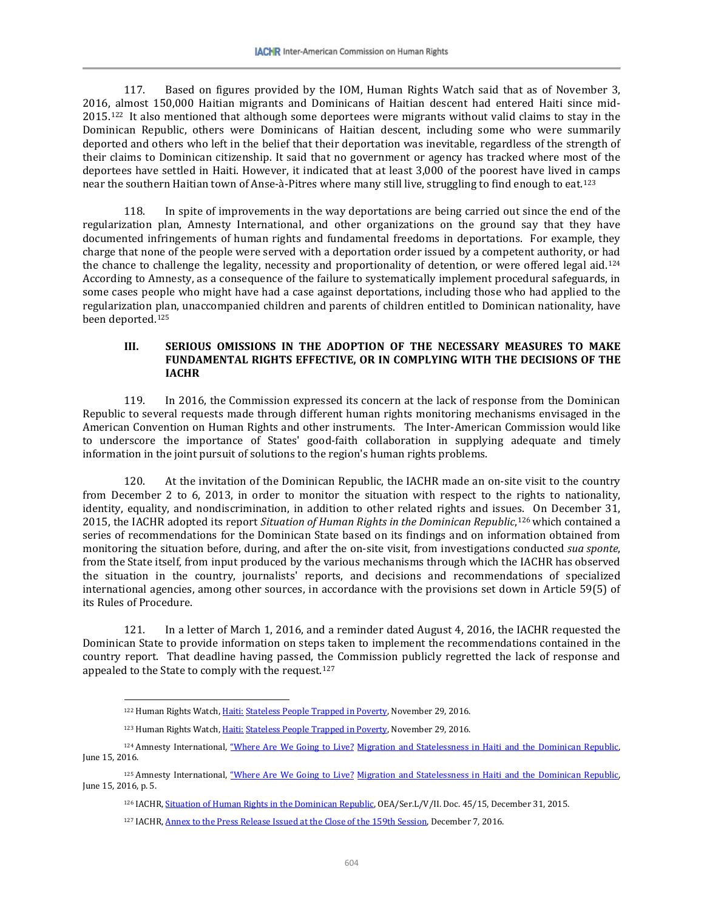117. Based on figures provided by the IOM, Human Rights Watch said that as of November 3, 2016, almost 150,000 Haitian migrants and Dominicans of Haitian descent had entered Haiti since mid-2015.[122](#page-27-0) It also mentioned that although some deportees were migrants without valid claims to stay in the Dominican Republic, others were Dominicans of Haitian descent, including some who were summarily deported and others who left in the belief that their deportation was inevitable, regardless of the strength of their claims to Dominican citizenship. It said that no government or agency has tracked where most of the deportees have settled in Haiti. However, it indicated that at least 3,000 of the poorest have lived in camps near the southern Haitian town of Anse-à-Pitres where many still live, struggling to find enough to eat.[123](#page-27-1)

118. In spite of improvements in the way deportations are being carried out since the end of the regularization plan, Amnesty International, and other organizations on the ground say that they have documented infringements of human rights and fundamental freedoms in deportations. For example, they charge that none of the people were served with a deportation order issued by a competent authority, or had the chance to challenge the legality, necessity and proportionality of detention, or were offered legal aid.[124](#page-27-2) According to Amnesty, as a consequence of the failure to systematically implement procedural safeguards, in some cases people who might have had a case against deportations, including those who had applied to the regularization plan, unaccompanied children and parents of children entitled to Dominican nationality, have been deported.[125](#page-27-3) 

#### **III. SERIOUS OMISSIONS IN THE ADOPTION OF THE NECESSARY MEASURES TO MAKE FUNDAMENTAL RIGHTS EFFECTIVE, OR IN COMPLYING WITH THE DECISIONS OF THE IACHR**

119. In 2016, the Commission expressed its concern at the lack of response from the Dominican Republic to several requests made through different human rights monitoring mechanisms envisaged in the American Convention on Human Rights and other instruments. The Inter-American Commission would like to underscore the importance of States' good-faith collaboration in supplying adequate and timely information in the joint pursuit of solutions to the region's human rights problems.

120. At the invitation of the Dominican Republic, the IACHR made an on-site visit to the country from December 2 to 6, 2013, in order to monitor the situation with respect to the rights to nationality, identity, equality, and nondiscrimination, in addition to other related rights and issues. On December 31, 2015, the IACHR adopted its report *Situation of Human Rights in the Dominican Republic*,[126](#page-27-4) which contained a series of recommendations for the Dominican State based on its findings and on information obtained from monitoring the situation before, during, and after the on-site visit, from investigations conducted *sua sponte*, from the State itself, from input produced by the various mechanisms through which the IACHR has observed the situation in the country, journalists' reports, and decisions and recommendations of specialized international agencies, among other sources, in accordance with the provisions set down in Article 59(5) of its Rules of Procedure.

121. In a letter of March 1, 2016, and a reminder dated August 4, 2016, the IACHR requested the Dominican State to provide information on steps taken to implement the recommendations contained in the country report. That deadline having passed, the Commission publicly regretted the lack of response and appealed to the State to comply with the request.<sup>127</sup>

l

<sup>&</sup>lt;sup>122</sup> Human Rights Watch, Haiti: [Stateless People Trapped in Poverty,](https://www.hrw.org/es/news/2016/11/29/haiti-atrapadas-en-la-pobreza-miles-de-personas-apatridas) November 29, 2016.

<sup>&</sup>lt;sup>123</sup> Human Rights Watch, Haiti: [Stateless People Trapped in Poverty,](https://www.hrw.org/es/news/2016/11/29/haiti-atrapadas-en-la-pobreza-miles-de-personas-apatridas) November 29, 2016.

<span id="page-27-2"></span><span id="page-27-1"></span><span id="page-27-0"></span><sup>&</sup>lt;sup>124</sup> Amnesty International, "Where Are We Going to Live? Migration and Statelessness in Haiti and the Dominican Republic, June 15, 2016.

<span id="page-27-5"></span><span id="page-27-4"></span><span id="page-27-3"></span><sup>125</sup> Amnesty International, "Where Are We Going to Live? Migration and Statelessness in Haiti and the Dominican Republic, June 15, 2016, p. 5.

<sup>&</sup>lt;sup>126</sup> IACHR[, Situation of Human Rights in the Dominican Republic,](http://www.oas.org/es/cidh/informes/pdfs/RepublicaDominicana-2015.pdf) OEA/Ser.L/V/II. Doc. 45/15, December 31, 2015.

<sup>&</sup>lt;sup>127</sup> IACHR[, Annex to the Press Release Issued at the Close of the 159th Session,](http://www.oas.org/es/cidh/prensa/Comunicados/2016/183A.asp) December 7, 2016.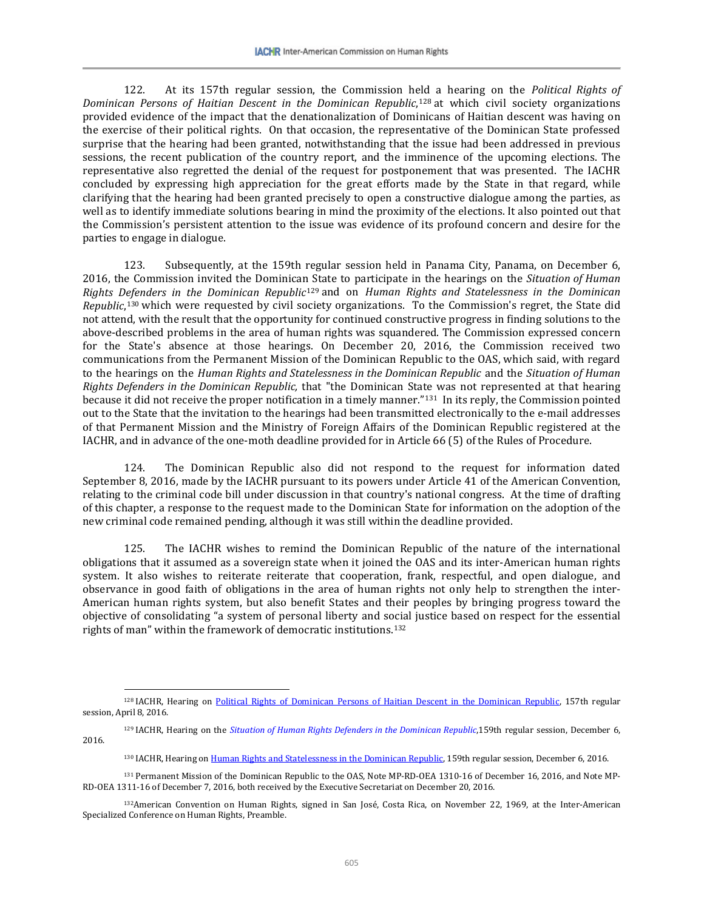122. At its 157th regular session, the Commission held a hearing on the *Political Rights of Dominican Persons of Haitian Descent in the Dominican Republic*,[128](#page-28-0) at which civil society organizations provided evidence of the impact that the denationalization of Dominicans of Haitian descent was having on the exercise of their political rights. On that occasion, the representative of the Dominican State professed surprise that the hearing had been granted, notwithstanding that the issue had been addressed in previous sessions, the recent publication of the country report, and the imminence of the upcoming elections. The representative also regretted the denial of the request for postponement that was presented. The IACHR concluded by expressing high appreciation for the great efforts made by the State in that regard, while clarifying that the hearing had been granted precisely to open a constructive dialogue among the parties, as well as to identify immediate solutions bearing in mind the proximity of the elections. It also pointed out that the Commission's persistent attention to the issue was evidence of its profound concern and desire for the parties to engage in dialogue.

123. Subsequently, at the 159th regular session held in Panama City, Panama, on December 6, 2016, the Commission invited the Dominica[n St](#page-28-1)ate to participate in the hearings on the *Situation of Human Rights Defenders in the Dominican Republic*<sup>129</sup> and on *Human Rights and Statelessness in the Dominican Republic*,[130](#page-28-2) which were requested by civil society organizations. To the Commission's regret, the State did not attend, with the result that the opportunity for continued constructive progress in finding solutions to the above-described problems in the area of human rights was squandered. The Commission expressed concern for the State's absence at those hearings. On December 20, 2016, the Commission received two communications from the Permanent Mission of the Dominican Republic to the OAS, which said, with regard to the hearings on the *Human Rights and Statelessness in the Dominican Republic* and the *Situation of Human Rights Defenders in the Dominican Republic,* that "the Dominican State was not represented at that hearing because it did not receive the proper notification in a timely manner."[131](#page-28-3) In its reply, the Commission pointed out to the State that the invitation to the hearings had been transmitted electronically to the e-mail addresses of that Permanent Mission and the Ministry of Foreign Affairs of the Dominican Republic registered at the IACHR, and in advance of the one-moth deadline provided for in Article 66 (5) of the Rules of Procedure.

124. The Dominican Republic also did not respond to the request for information dated September 8, 2016, made by the IACHR pursuant to its powers under Article 41 of the American Convention, relating to the criminal code bill under discussion in that country's national congress. At the time of drafting of this chapter, a response to the request made to the Dominican State for information on the adoption of the new criminal code remained pending, although it was still within the deadline provided.

125. The IACHR wishes to remind the Dominican Republic of the nature of the international obligations that it assumed as a sovereign state when it joined the OAS and its inter-American human rights system. It also wishes to reiterate reiterate that cooperation, frank, respectful, and open dialogue, and observance in good faith of obligations in the area of human rights not only help to strengthen the inter-American human rights system, but also benefit States and their peoples by bringing progress toward the objective of consolidating "a system of personal liberty and social justice based on respect for the essential rights of man" within the framework of democratic institutions.[132](#page-28-4)

<span id="page-28-0"></span><sup>128</sup> IACHR, Hearing on [Political Rights of Dominican Persons of Haitian Descent in the Dominican Republic,](https://www.youtube.com/watch?v=gudI8JwplvI) 157th regular session, April 8, 2016.

<span id="page-28-1"></span><sup>&</sup>lt;sup>129</sup> IACHR, Hearing on the *[Situation of Human Rights Defenders in the Dominican Republic](https://www.youtube.com/watch?v=9NkNBgDQ1jw)*,159th regular session, December 6, 2016.

<sup>130</sup> IACHR, Hearing o[n Human Rights and Statelessness in the Dominican Republic,](https://www.youtube.com/watch?v=Mdj7bjHuDwo) 159th regular session, December 6, 2016.

<span id="page-28-3"></span><span id="page-28-2"></span><sup>131</sup> Permanent Mission of the Dominican Republic to the OAS, Note MP-RD-OEA 1310-16 of December 16, 2016, and Note MP-RD-OEA 1311-16 of December 7, 2016, both received by the Executive Secretariat on December 20, 2016.

<span id="page-28-4"></span><sup>132</sup>American Convention on Human Rights, signed in San José, Costa Rica, on November 22, 1969, at the Inter-American Specialized Conference on Human Rights, Preamble.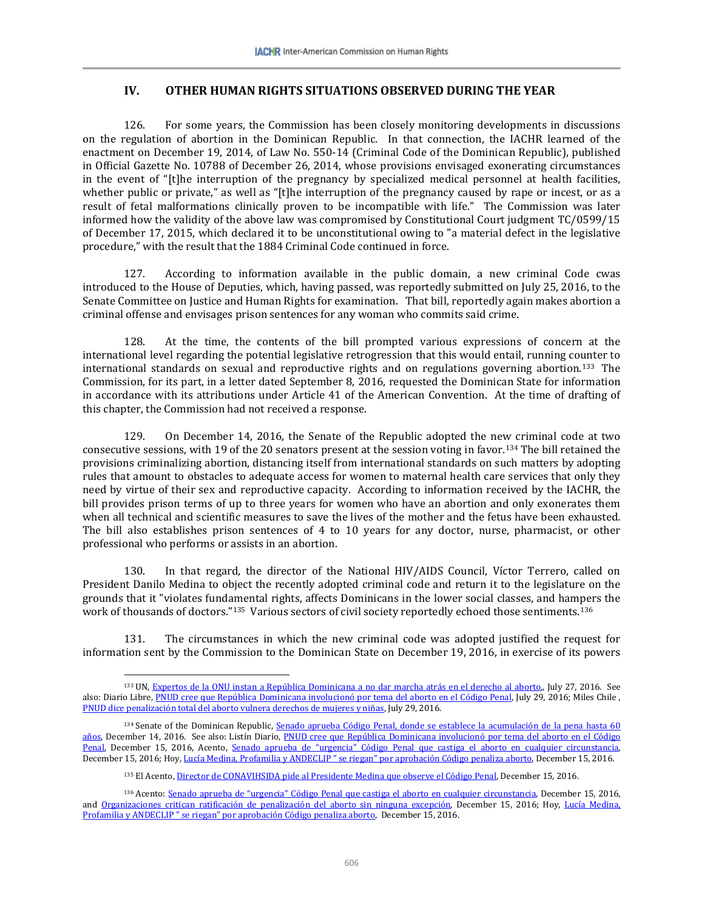#### **IV. OTHER HUMAN RIGHTS SITUATIONS OBSERVED DURING THE YEAR**

126. For some years, the Commission has been closely monitoring developments in discussions on the regulation of abortion in the Dominican Republic. In that connection, the IACHR learned of the enactment on December 19, 2014, of Law No. 550-14 (Criminal Code of the Dominican Republic), published in Official Gazette No. 10788 of December 26, 2014, whose provisions envisaged exonerating circumstances in the event of "[t]he interruption of the pregnancy by specialized medical personnel at health facilities, whether public or private," as well as "[t]he interruption of the pregnancy caused by rape or incest, or as a result of fetal malformations clinically proven to be incompatible with life." The Commission was later informed how the validity of the above law was compromised by Constitutional Court judgment TC/0599/15 of December 17, 2015, which declared it to be unconstitutional owing to "a material defect in the legislative procedure," with the result that the 1884 Criminal Code continued in force.

127. According to information available in the public domain, a new criminal Code cwas introduced to the House of Deputies, which, having passed, was reportedly submitted on July 25, 2016, to the Senate Committee on Justice and Human Rights for examination. That bill, reportedly again makes abortion a criminal offense and envisages prison sentences for any woman who commits said crime.

128. At the time, the contents of the bill prompted various expressions of concern at the international level regarding the potential legislative retrogression that this would entail, running counter to international standards on sexual and reproductive rights and on regulations governing abortion.[133](#page-29-0) The Commission, for its part, in a letter dated September 8, 2016, requested the Dominican State for information in accordance with its attributions under Article 41 of the American Convention. At the time of drafting of this chapter, the Commission had not received a response.

129. On December 14, 2016, the Senate of the Republic adopted the new criminal code at two consecutive sessions, with 19 of the 20 senators present at the session voting in favor.[134](#page-29-1) The bill retained the provisions criminalizing abortion, distancing itself from international standards on such matters by adopting rules that amount to obstacles to adequate access for women to maternal health care services that only they need by virtue of their sex and reproductive capacity. According to information received by the IACHR, the bill provides prison terms of up to three years for women who have an abortion and only exonerates them when all technical and scientific measures to save the lives of the mother and the fetus have been exhausted. The bill also establishes prison sentences of 4 to 10 years for any doctor, nurse, pharmacist, or other professional who performs or assists in an abortion.

130. In that regard, the director of the National HIV/AIDS Council, Víctor Terrero, called on President Danilo Medina to object the recently adopted criminal code and return it to the legislature on the grounds that it "violates fundamental rights, affects Dominicans in the lower social classes, and hampers the work of thousands of doctors."<sup>135</sup> Various sectors of civil society reportedly echoed those sentiments.<sup>[136](#page-29-3)</sup>

131. The circumstances in which the new criminal code was adopted justified the request for information sent by the Commission to the Dominican State on December 19, 2016, in exercise of its powers

<span id="page-29-0"></span><sup>133</sup> UN[, Expertos de la ONU instan a República Dominicana a no dar marcha atrás en el derecho al aborto,,](http://www.unmultimedia.org/radio/spanish/2016/07/expertos-de-la-onu-instan-a-la-republica-dominicana-a-no-dar-marcha-atras-en-el-derecho-al-aborto/) July 27, 2016. See also: Diario Libre[, PNUD cree que República Dominicana involucionó por tema del aborto en el Código Penal,](http://www.diariolibre.com/noticias/pnud-cree-que-rd-involuciono-por-tema-del-aborto-en-el-codigo-penal-IJ4496082) July 29, 2016; Miles Chile, [PNUD dice penalización total del aborto vulnera derechos de mujeres y niñas,](http://mileschile.cl/?p=2845) July 29, 2016.

<span id="page-29-1"></span><sup>&</sup>lt;sup>134</sup> Senate of the Dominican Republic, Senado aprueba Código Penal, donde se establece la acumulación de la pena hasta 60 [años,](http://www.senado.gob.do/senado/Default.aspx?tabid=40&mid=439&ctl=ArticleView&articleId=1804) December 14, 2016. See also: Listín Diario, PNUD cree que República Dominicana involucionó por tema del aborto en el Código [Penal,](http://www.diariolibre.com/noticias/pnud-cree-que-rd-involuciono-por-tema-del-aborto-en-el-codigo-penal-IJ4496082) December 15, 2016, Acento, [Senado aprueba de "urgencia" Código Penal que castiga el aborto en cualquier circunstancia,](http://acento.com.do/2016/actualidad/8410749-senado-aprueba-urgencia-codigo-penal-castiga-aborto-cualquier-circunstancia/)  December 15, 2016; Hoy[, Lucía Medina, Profamilia y ANDECLIP " se riegan" por aprobación Código penaliza aborto,](http://hoy.com.do/lucia-medina-profamilia-y-andeclip-se-riegan-por-aprobacion-codigo-penaliza-aborto/) December 15, 2016.

<sup>135</sup> El Acento[, Director de CONAVIHSIDA pide al Presidente Medina que observe el Código Penal,](http://acento.com.do/2016/actualidad/8410916-director-conavihsida-pide-al-presidente-medina-observe-codigo-penal/) December 15, 2016.

<span id="page-29-3"></span><span id="page-29-2"></span><sup>136</sup> Acento[: Senado aprueba de "urgencia" Código Penal que castiga el aborto en cualquier circunstancia,](http://acento.com.do/2016/actualidad/8410749-senado-aprueba-urgencia-codigo-penal-castiga-aborto-cualquier-circunstancia/) December 15, 2016, and [Organizaciones critican ratificación de penalización del aborto sin ninguna excepción,](http://acento.com.do/2016/actualidad/8410906-organizaciones-critican-ratificacion-penalizacion-del-aborto-sin-ninguna-excepcion/) December 15, 2016; Hoy, Lucía Medina, [Profamilia y ANDECLIP " se riegan" por aprobación Código penaliza aborto,](http://hoy.com.do/lucia-medina-profamilia-y-andeclip-se-riegan-por-aprobacion-codigo-penaliza-aborto/) December 15, 2016.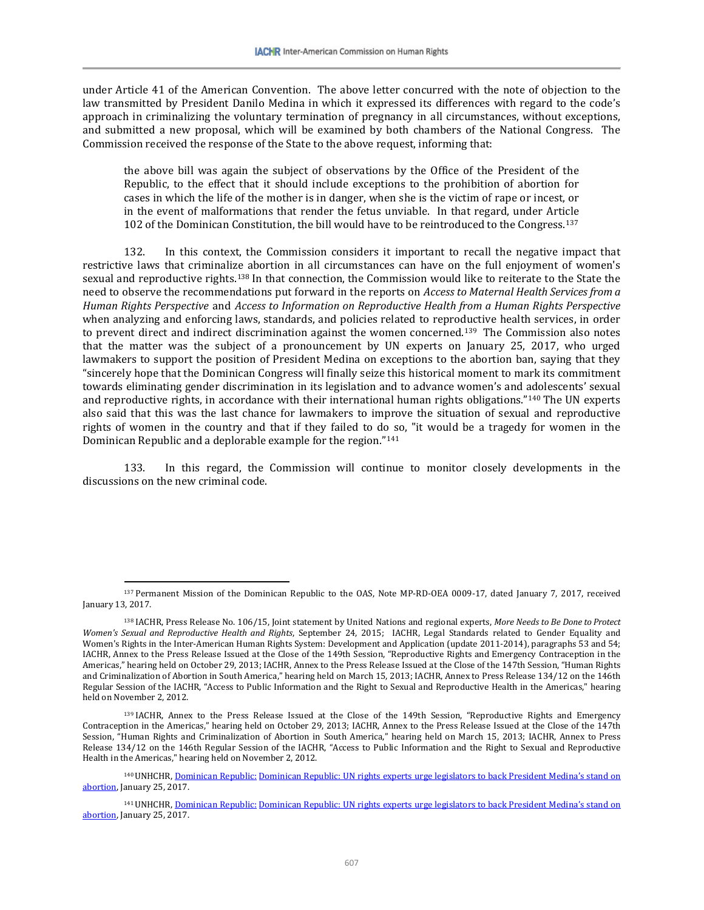under Article 41 of the American Convention. The above letter concurred with the note of objection to the law transmitted by President Danilo Medina in which it expressed its differences with regard to the code's approach in criminalizing the voluntary termination of pregnancy in all circumstances, without exceptions, and submitted a new proposal, which will be examined by both chambers of the National Congress. The Commission received the response of the State to the above request, informing that:

the above bill was again the subject of observations by the Office of the President of the Republic, to the effect that it should include exceptions to the prohibition of abortion for cases in which the life of the mother is in danger, when she is the victim of rape or incest, or in the event of malformations that render the fetus unviable. In that regard, under Article 102 of the Dominican Constitution, the bill would have to be reintroduced to the Congress.[137](#page-30-0)

132. In this context, the Commission considers it important to recall the negative impact that restrictive laws that criminalize abortion in all circumstances can have on the full enjoyment of women's sexual and reproductive rights.[138](#page-30-1) In that connection, the Commission would like to reiterate to the State the need to observe the recommendations put forward in the reports on *Access to Maternal Health Services from a Human Rights Perspective* and *Access to Information on Reproductive Health from a Human Rights Perspective* when analyzing and enforcing laws, standards, and policies related to reproductive health services, in order to prevent direct and indirect discrimination against the women concerned.[139](#page-30-2) The Commission also notes that the matter was the subject of a pronouncement by UN experts on January 25, 2017, who urged lawmakers to support the position of President Medina on exceptions to the abortion ban, saying that they "sincerely hope that the Dominican Congress will finally seize this historical moment to mark its commitment towards eliminating gender discrimination in its legislation and to advance women's and adolescents' sexual and reproductive rights, in accordance with their international human rights obligations."[140](#page-30-3) The UN experts also said that this was the last chance for lawmakers to improve the situation of sexual and reproductive rights of women in the country and that if they failed to do so, "it would be a tragedy for women in the Dominican Republic and a deplorable example for the region."[141](#page-30-4) 

133. In this regard, the Commission will continue to monitor closely developments in the discussions on the new criminal code.

<span id="page-30-0"></span><sup>137</sup> Permanent Mission of the Dominican Republic to the OAS, Note MP-RD-OEA 0009-17, dated January 7, 2017, received January 13, 2017.

<span id="page-30-1"></span><sup>138</sup> IACHR, Press Release No. 106/15, Joint statement by United Nations and regional experts, *More Needs to Be Done to Protect Women's Sexual and Reproductive Health and Rights*, September 24, 2015; IACHR, Legal Standards related to Gender Equality and Women's Rights in the Inter-American Human Rights System: Development and Application (update 2011-2014), paragraphs 53 and 54; IACHR, Annex to the Press Release Issued at the Close of the 149th Session, "Reproductive Rights and Emergency Contraception in the Americas," hearing held on October 29, 2013; IACHR, Annex to the Press Release Issued at the Close of the 147th Session, "Human Rights and Criminalization of Abortion in South America," hearing held on March 15, 2013; IACHR, Annex to Press Release 134/12 on the 146th Regular Session of the IACHR, "Access to Public Information and the Right to Sexual and Reproductive Health in the Americas," hearing held on November 2, 2012.

<span id="page-30-2"></span><sup>139</sup> IACHR, Annex to the Press Release Issued at the Close of the 149th Session, "Reproductive Rights and Emergency Contraception in the Americas," hearing held on October 29, 2013; IACHR, Annex to the Press Release Issued at the Close of the 147th Session, "Human Rights and Criminalization of Abortion in South America," hearing held on March 15, 2013; IACHR, Annex to Press Release 134/12 on the 146th Regular Session of the IACHR, "Access to Public Information and the Right to Sexual and Reproductive Health in the Americas," hearing held on November 2, 2012.

<span id="page-30-3"></span><sup>140</sup>UNHCHR, Dominican Republic: [Dominican Republic: UN rights experts urge legislators to back President Medina's stand on](http://www.ohchr.org/SP/NewsEvents/Pages/DisplayNews.aspx?NewsID=21119&LangID=S#sthash.63ublPj7.dpuf)  [abortion,](http://www.ohchr.org/SP/NewsEvents/Pages/DisplayNews.aspx?NewsID=21119&LangID=S#sthash.63ublPj7.dpuf) January 25, 2017.

<span id="page-30-4"></span><sup>141</sup>UNHCHR, Dominican Republic: [Dominican Republic: UN rights experts urge legislators to back President Medina's stand on](http://www.ohchr.org/SP/NewsEvents/Pages/DisplayNews.aspx?NewsID=21119&LangID=S#sthash.63ublPj7.dpuf)  [abortion,](http://www.ohchr.org/SP/NewsEvents/Pages/DisplayNews.aspx?NewsID=21119&LangID=S#sthash.63ublPj7.dpuf) January 25, 2017.